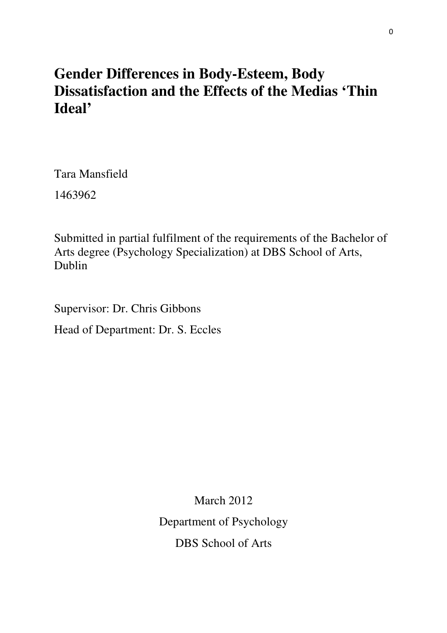# **Gender Differences in Body-Esteem, Body Dissatisfaction and the Effects of the Medias 'Thin Ideal'**

Tara Mansfield 1463962

Submitted in partial fulfilment of the requirements of the Bachelor of Arts degree (Psychology Specialization) at DBS School of Arts, Dublin

Supervisor: Dr. Chris Gibbons

Head of Department: Dr. S. Eccles

March 2012 Department of Psychology DBS School of Arts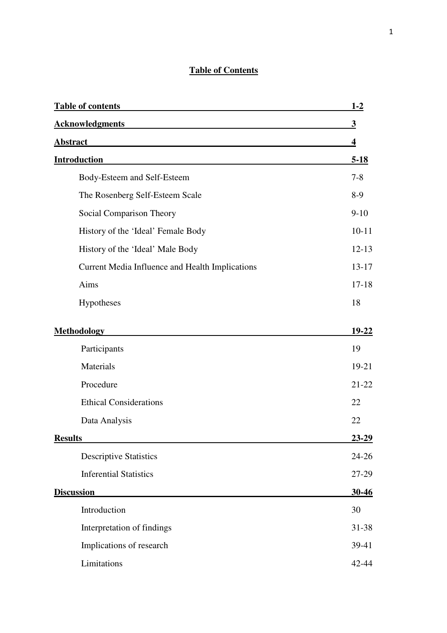# **Table of Contents**

| <b>Table of contents</b>                        | $1-2$                   |
|-------------------------------------------------|-------------------------|
| <b>Acknowledgments</b>                          | $\overline{\mathbf{3}}$ |
| <b>Abstract</b>                                 | $\overline{\mathbf{4}}$ |
| Introduction                                    | $5 - 18$                |
| Body-Esteem and Self-Esteem                     | $7 - 8$                 |
| The Rosenberg Self-Esteem Scale                 | $8-9$                   |
| Social Comparison Theory                        | $9 - 10$                |
| History of the 'Ideal' Female Body              | $10 - 11$               |
| History of the 'Ideal' Male Body                | $12 - 13$               |
| Current Media Influence and Health Implications | $13 - 17$               |
| Aims                                            | $17 - 18$               |
| Hypotheses                                      | 18                      |
| <b>Methodology</b>                              | $19 - 22$               |
| Participants                                    | 19                      |
| Materials                                       | 19-21                   |
| Procedure                                       | $21 - 22$               |
| <b>Ethical Considerations</b>                   | 22                      |
| Data Analysis                                   | 22                      |
| <b>Results</b>                                  | 23-29                   |
| <b>Descriptive Statistics</b>                   | $24 - 26$               |
| <b>Inferential Statistics</b>                   | 27-29                   |
| <b>Discussion</b>                               | $30-46$                 |
| Introduction                                    | 30                      |
| Interpretation of findings                      | 31-38                   |
| Implications of research                        | 39-41                   |
| Limitations                                     | 42-44                   |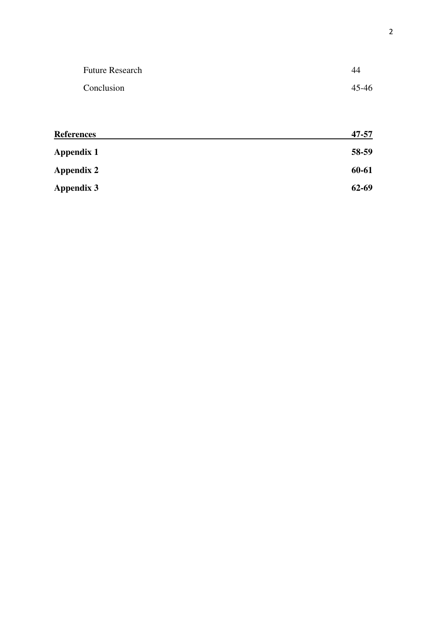| <b>Future Research</b> | 44        |
|------------------------|-----------|
| Conclusion             | $45 - 46$ |
|                        |           |

| <b>References</b> | 47-57     |
|-------------------|-----------|
| <b>Appendix 1</b> | 58-59     |
| <b>Appendix 2</b> | 60-61     |
| Appendix 3        | $62 - 69$ |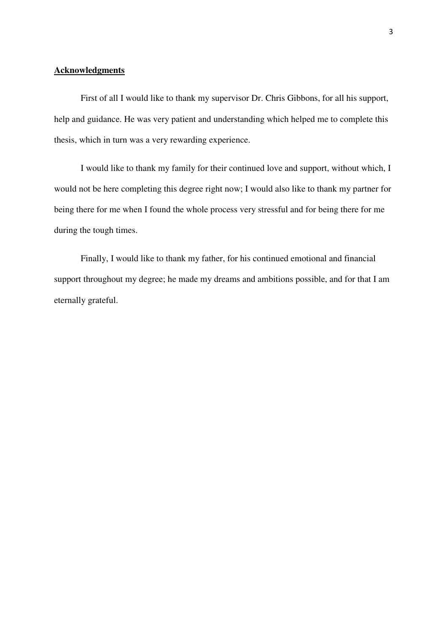# **Acknowledgments**

 First of all I would like to thank my supervisor Dr. Chris Gibbons, for all his support, help and guidance. He was very patient and understanding which helped me to complete this thesis, which in turn was a very rewarding experience.

 I would like to thank my family for their continued love and support, without which, I would not be here completing this degree right now; I would also like to thank my partner for being there for me when I found the whole process very stressful and for being there for me during the tough times.

 Finally, I would like to thank my father, for his continued emotional and financial support throughout my degree; he made my dreams and ambitions possible, and for that I am eternally grateful.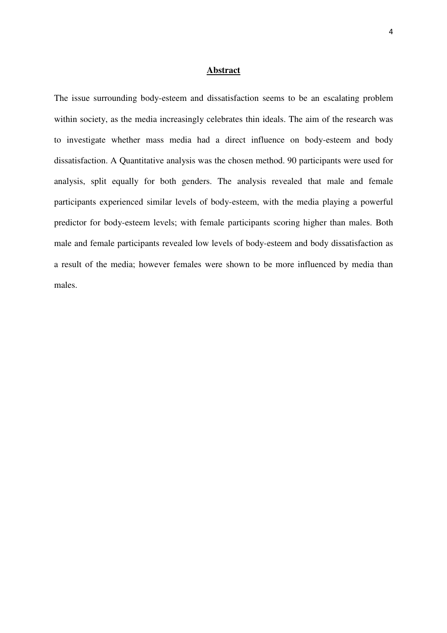#### **Abstract**

The issue surrounding body-esteem and dissatisfaction seems to be an escalating problem within society, as the media increasingly celebrates thin ideals. The aim of the research was to investigate whether mass media had a direct influence on body-esteem and body dissatisfaction. A Quantitative analysis was the chosen method. 90 participants were used for analysis, split equally for both genders. The analysis revealed that male and female participants experienced similar levels of body-esteem, with the media playing a powerful predictor for body-esteem levels; with female participants scoring higher than males. Both male and female participants revealed low levels of body-esteem and body dissatisfaction as a result of the media; however females were shown to be more influenced by media than males.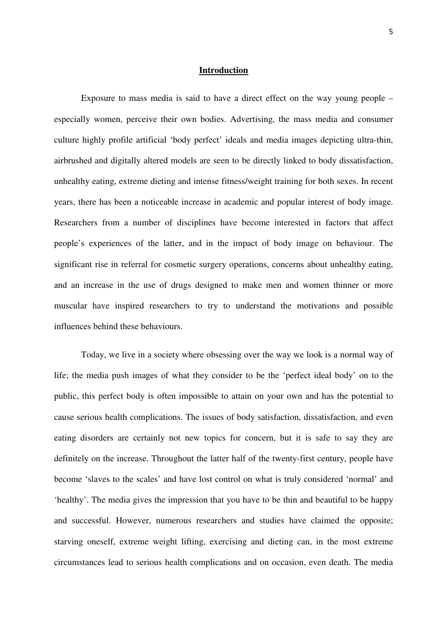#### **Introduction**

Exposure to mass media is said to have a direct effect on the way young people – especially women, perceive their own bodies. Advertising, the mass media and consumer culture highly profile artificial 'body perfect' ideals and media images depicting ultra-thin, airbrushed and digitally altered models are seen to be directly linked to body dissatisfaction, unhealthy eating, extreme dieting and intense fitness/weight training for both sexes. In recent years, there has been a noticeable increase in academic and popular interest of body image. Researchers from a number of disciplines have become interested in factors that affect people's experiences of the latter, and in the impact of body image on behaviour. The significant rise in referral for cosmetic surgery operations, concerns about unhealthy eating, and an increase in the use of drugs designed to make men and women thinner or more muscular have inspired researchers to try to understand the motivations and possible influences behind these behaviours.

Today, we live in a society where obsessing over the way we look is a normal way of life; the media push images of what they consider to be the 'perfect ideal body' on to the public, this perfect body is often impossible to attain on your own and has the potential to cause serious health complications. The issues of body satisfaction, dissatisfaction, and even eating disorders are certainly not new topics for concern, but it is safe to say they are definitely on the increase. Throughout the latter half of the twenty-first century, people have become 'slaves to the scales' and have lost control on what is truly considered 'normal' and 'healthy'. The media gives the impression that you have to be thin and beautiful to be happy and successful. However, numerous researchers and studies have claimed the opposite; starving oneself, extreme weight lifting, exercising and dieting can, in the most extreme circumstances lead to serious health complications and on occasion, even death. The media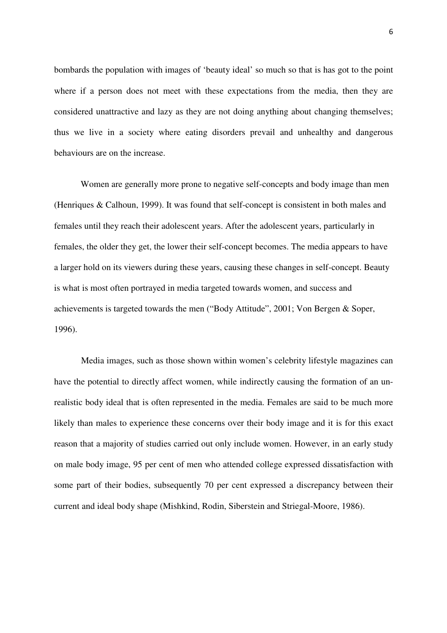bombards the population with images of 'beauty ideal' so much so that is has got to the point where if a person does not meet with these expectations from the media, then they are considered unattractive and lazy as they are not doing anything about changing themselves; thus we live in a society where eating disorders prevail and unhealthy and dangerous behaviours are on the increase.

Women are generally more prone to negative self-concepts and body image than men (Henriques & Calhoun, 1999). It was found that self-concept is consistent in both males and females until they reach their adolescent years. After the adolescent years, particularly in females, the older they get, the lower their self-concept becomes. The media appears to have a larger hold on its viewers during these years, causing these changes in self-concept. Beauty is what is most often portrayed in media targeted towards women, and success and achievements is targeted towards the men ("Body Attitude", 2001; Von Bergen & Soper, 1996).

Media images, such as those shown within women's celebrity lifestyle magazines can have the potential to directly affect women, while indirectly causing the formation of an unrealistic body ideal that is often represented in the media. Females are said to be much more likely than males to experience these concerns over their body image and it is for this exact reason that a majority of studies carried out only include women. However, in an early study on male body image, 95 per cent of men who attended college expressed dissatisfaction with some part of their bodies, subsequently 70 per cent expressed a discrepancy between their current and ideal body shape (Mishkind, Rodin, Siberstein and Striegal-Moore, 1986).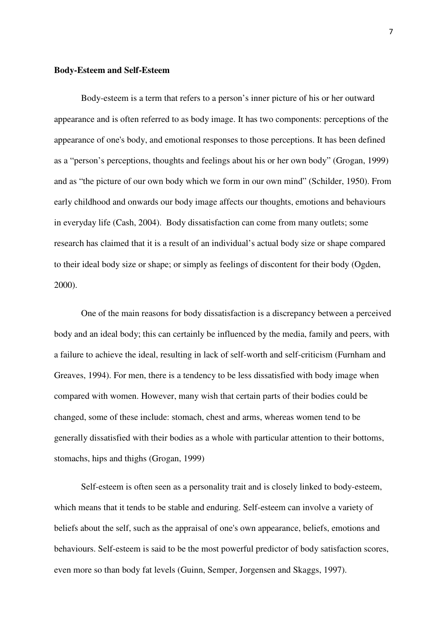#### **Body-Esteem and Self-Esteem**

 Body-esteem is a term that refers to a person's inner picture of his or her outward appearance and is often referred to as body image. It has two components: perceptions of the appearance of one's body, and emotional responses to those perceptions. It has been defined as a "person's perceptions, thoughts and feelings about his or her own body" (Grogan, 1999) and as "the picture of our own body which we form in our own mind" (Schilder, 1950). From early childhood and onwards our body image affects our thoughts, emotions and behaviours in everyday life (Cash, 2004). Body dissatisfaction can come from many outlets; some research has claimed that it is a result of an individual's actual body size or shape compared to their ideal body size or shape; or simply as feelings of discontent for their body (Ogden, 2000).

One of the main reasons for body dissatisfaction is a discrepancy between a perceived body and an ideal body; this can certainly be influenced by the media, family and peers, with a failure to achieve the ideal, resulting in lack of self-worth and self-criticism (Furnham and Greaves, 1994). For men, there is a tendency to be less dissatisfied with body image when compared with women. However, many wish that certain parts of their bodies could be changed, some of these include: stomach, chest and arms, whereas women tend to be generally dissatisfied with their bodies as a whole with particular attention to their bottoms, stomachs, hips and thighs (Grogan, 1999)

 Self-esteem is often seen as a personality trait and is closely linked to body-esteem, which means that it tends to be stable and enduring. Self-esteem can involve a variety of beliefs about the self, such as the appraisal of one's own appearance, beliefs, emotions and behaviours. Self-esteem is said to be the most powerful predictor of body satisfaction scores, even more so than body fat levels (Guinn, Semper, Jorgensen and Skaggs, 1997).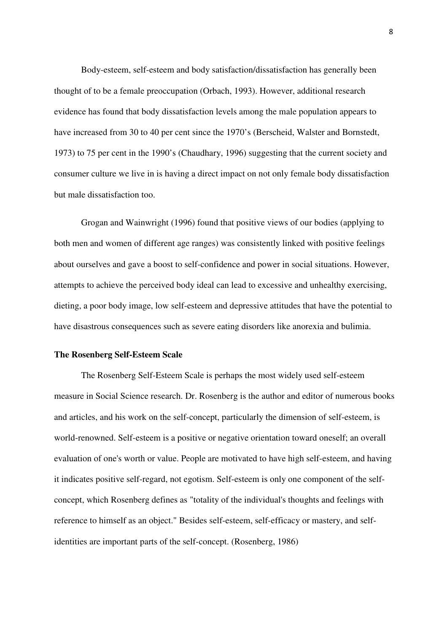Body-esteem, self-esteem and body satisfaction/dissatisfaction has generally been thought of to be a female preoccupation (Orbach, 1993). However, additional research evidence has found that body dissatisfaction levels among the male population appears to have increased from 30 to 40 per cent since the 1970's (Berscheid, Walster and Bornstedt, 1973) to 75 per cent in the 1990's (Chaudhary, 1996) suggesting that the current society and consumer culture we live in is having a direct impact on not only female body dissatisfaction but male dissatisfaction too.

 Grogan and Wainwright (1996) found that positive views of our bodies (applying to both men and women of different age ranges) was consistently linked with positive feelings about ourselves and gave a boost to self-confidence and power in social situations. However, attempts to achieve the perceived body ideal can lead to excessive and unhealthy exercising, dieting, a poor body image, low self-esteem and depressive attitudes that have the potential to have disastrous consequences such as severe eating disorders like anorexia and bulimia.

#### **The Rosenberg Self-Esteem Scale**

The Rosenberg Self-Esteem Scale is perhaps the most widely used self-esteem measure in Social Science research. Dr. Rosenberg is the author and editor of numerous books and articles, and his work on the self-concept, particularly the dimension of self-esteem, is world-renowned. Self-esteem is a positive or negative orientation toward oneself; an overall evaluation of one's worth or value. People are motivated to have high self-esteem, and having it indicates positive self-regard, not egotism. Self-esteem is only one component of the selfconcept, which Rosenberg defines as "totality of the individual's thoughts and feelings with reference to himself as an object." Besides self-esteem, self-efficacy or mastery, and selfidentities are important parts of the self-concept. (Rosenberg, 1986)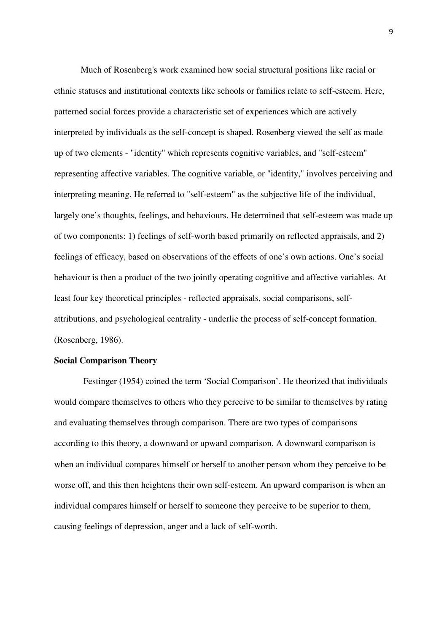Much of Rosenberg's work examined how social structural positions like racial or ethnic statuses and institutional contexts like schools or families relate to self-esteem. Here, patterned social forces provide a characteristic set of experiences which are actively interpreted by individuals as the self-concept is shaped. Rosenberg viewed the self as made up of two elements - "identity" which represents cognitive variables, and "self-esteem" representing affective variables. The cognitive variable, or "identity," involves perceiving and interpreting meaning. He referred to "self-esteem" as the subjective life of the individual, largely one's thoughts, feelings, and behaviours. He determined that self-esteem was made up of two components: 1) feelings of self-worth based primarily on reflected appraisals, and 2) feelings of efficacy, based on observations of the effects of one's own actions. One's social behaviour is then a product of the two jointly operating cognitive and affective variables. At least four key theoretical principles - reflected appraisals, social comparisons, selfattributions, and psychological centrality - underlie the process of self-concept formation. (Rosenberg, 1986).

#### **Social Comparison Theory**

 Festinger (1954) coined the term 'Social Comparison'. He theorized that individuals would compare themselves to others who they perceive to be similar to themselves by rating and evaluating themselves through comparison. There are two types of comparisons according to this theory, a downward or upward comparison. A downward comparison is when an individual compares himself or herself to another person whom they perceive to be worse off, and this then heightens their own self-esteem. An upward comparison is when an individual compares himself or herself to someone they perceive to be superior to them, causing feelings of depression, anger and a lack of self-worth.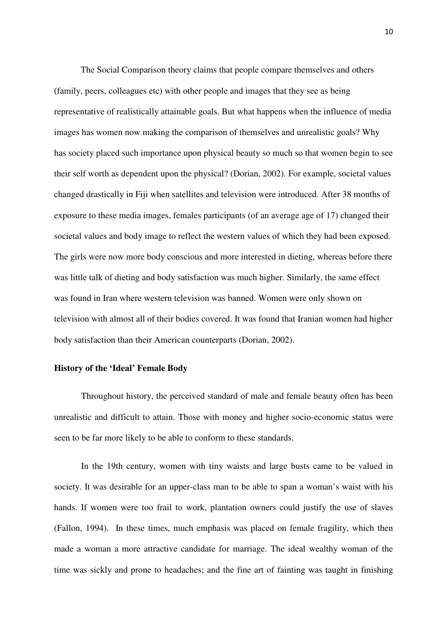The Social Comparison theory claims that people compare themselves and others (family, peers, colleagues etc) with other people and images that they see as being representative of realistically attainable goals. But what happens when the influence of media images has women now making the comparison of themselves and unrealistic goals? Why has society placed such importance upon physical beauty so much so that women begin to see their self worth as dependent upon the physical? (Dorian, 2002). For example, societal values changed drastically in Fiji when satellites and television were introduced. After 38 months of exposure to these media images, females participants (of an average age of 17) changed their societal values and body image to reflect the western values of which they had been exposed. The girls were now more body conscious and more interested in dieting, whereas before there was little talk of dieting and body satisfaction was much higher. Similarly, the same effect was found in Iran where western television was banned. Women were only shown on television with almost all of their bodies covered. It was found that Iranian women had higher body satisfaction than their American counterparts (Dorian, 2002).

#### **History of the 'Ideal' Female Body**

Throughout history, the perceived standard of male and female beauty often has been unrealistic and difficult to attain. Those with money and higher socio-economic status were seen to be far more likely to be able to conform to these standards.

In the 19th century, women with tiny waists and large busts came to be valued in society. It was desirable for an upper-class man to be able to span a woman's waist with his hands. If women were too frail to work, plantation owners could justify the use of slaves (Fallon, 1994). In these times, much emphasis was placed on female fragility, which then made a woman a more attractive candidate for marriage. The ideal wealthy woman of the time was sickly and prone to headaches; and the fine art of fainting was taught in finishing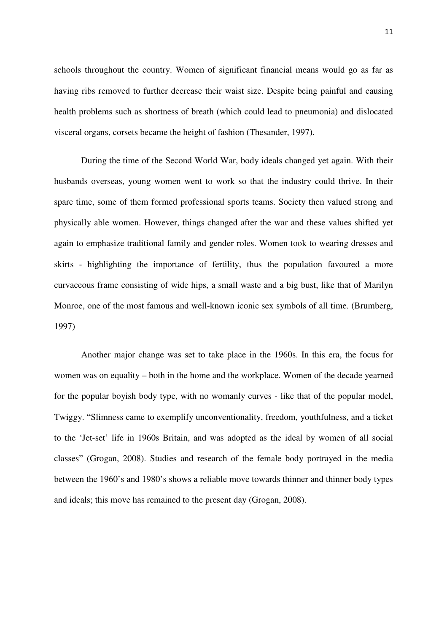schools throughout the country. Women of significant financial means would go as far as having ribs removed to further decrease their waist size. Despite being painful and causing health problems such as shortness of breath (which could lead to pneumonia) and dislocated visceral organs, corsets became the height of fashion (Thesander, 1997).

During the time of the Second World War, body ideals changed yet again. With their husbands overseas, young women went to work so that the industry could thrive. In their spare time, some of them formed professional sports teams. Society then valued strong and physically able women. However, things changed after the war and these values shifted yet again to emphasize traditional family and gender roles. Women took to wearing dresses and skirts - highlighting the importance of fertility, thus the population favoured a more curvaceous frame consisting of wide hips, a small waste and a big bust, like that of Marilyn Monroe, one of the most famous and well-known iconic sex symbols of all time. (Brumberg, 1997)

Another major change was set to take place in the 1960s. In this era, the focus for women was on equality – both in the home and the workplace. Women of the decade yearned for the popular boyish body type, with no womanly curves - like that of the popular model, Twiggy. "Slimness came to exemplify unconventionality, freedom, youthfulness, and a ticket to the 'Jet-set' life in 1960s Britain, and was adopted as the ideal by women of all social classes" (Grogan, 2008). Studies and research of the female body portrayed in the media between the 1960's and 1980's shows a reliable move towards thinner and thinner body types and ideals; this move has remained to the present day (Grogan, 2008).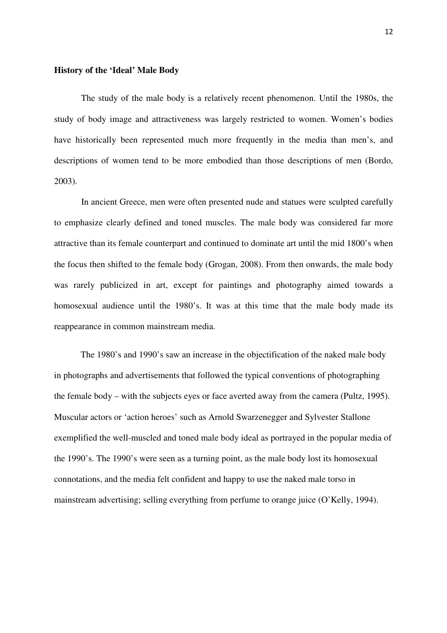## **History of the 'Ideal' Male Body**

The study of the male body is a relatively recent phenomenon. Until the 1980s, the study of body image and attractiveness was largely restricted to women. Women's bodies have historically been represented much more frequently in the media than men's, and descriptions of women tend to be more embodied than those descriptions of men (Bordo, 2003).

 In ancient Greece, men were often presented nude and statues were sculpted carefully to emphasize clearly defined and toned muscles. The male body was considered far more attractive than its female counterpart and continued to dominate art until the mid 1800's when the focus then shifted to the female body (Grogan, 2008). From then onwards, the male body was rarely publicized in art, except for paintings and photography aimed towards a homosexual audience until the 1980's. It was at this time that the male body made its reappearance in common mainstream media.

The 1980's and 1990's saw an increase in the objectification of the naked male body in photographs and advertisements that followed the typical conventions of photographing the female body – with the subjects eyes or face averted away from the camera (Pultz, 1995). Muscular actors or 'action heroes' such as Arnold Swarzenegger and Sylvester Stallone exemplified the well-muscled and toned male body ideal as portrayed in the popular media of the 1990's. The 1990's were seen as a turning point, as the male body lost its homosexual connotations, and the media felt confident and happy to use the naked male torso in mainstream advertising; selling everything from perfume to orange juice (O'Kelly, 1994).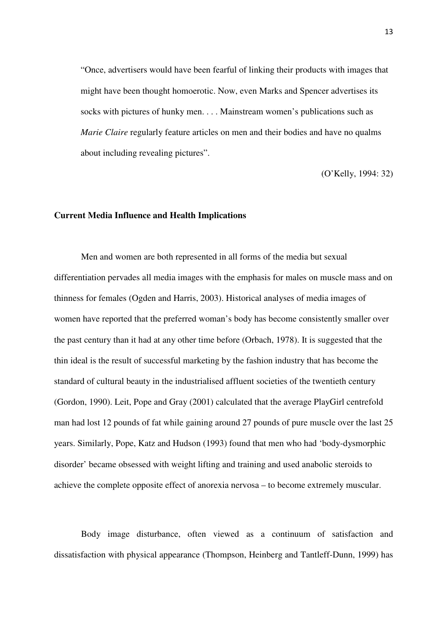"Once, advertisers would have been fearful of linking their products with images that might have been thought homoerotic. Now, even Marks and Spencer advertises its socks with pictures of hunky men. . . . Mainstream women's publications such as *Marie Claire* regularly feature articles on men and their bodies and have no qualms about including revealing pictures".

(O'Kelly, 1994: 32)

#### **Current Media Influence and Health Implications**

Men and women are both represented in all forms of the media but sexual differentiation pervades all media images with the emphasis for males on muscle mass and on thinness for females (Ogden and Harris, 2003). Historical analyses of media images of women have reported that the preferred woman's body has become consistently smaller over the past century than it had at any other time before (Orbach, 1978). It is suggested that the thin ideal is the result of successful marketing by the fashion industry that has become the standard of cultural beauty in the industrialised affluent societies of the twentieth century (Gordon, 1990). Leit, Pope and Gray (2001) calculated that the average PlayGirl centrefold man had lost 12 pounds of fat while gaining around 27 pounds of pure muscle over the last 25 years. Similarly, Pope, Katz and Hudson (1993) found that men who had 'body-dysmorphic disorder' became obsessed with weight lifting and training and used anabolic steroids to achieve the complete opposite effect of anorexia nervosa – to become extremely muscular.

Body image disturbance, often viewed as a continuum of satisfaction and dissatisfaction with physical appearance (Thompson, Heinberg and Tantleff-Dunn, 1999) has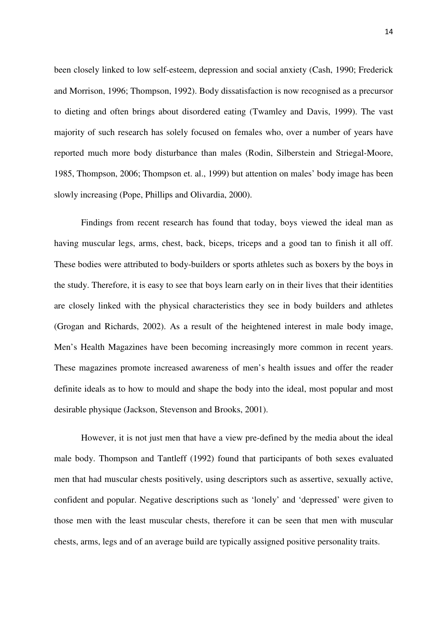been closely linked to low self-esteem, depression and social anxiety (Cash, 1990; Frederick and Morrison, 1996; Thompson, 1992). Body dissatisfaction is now recognised as a precursor to dieting and often brings about disordered eating (Twamley and Davis, 1999). The vast majority of such research has solely focused on females who, over a number of years have reported much more body disturbance than males (Rodin, Silberstein and Striegal-Moore, 1985, Thompson, 2006; Thompson et. al., 1999) but attention on males' body image has been slowly increasing (Pope, Phillips and Olivardia, 2000).

Findings from recent research has found that today, boys viewed the ideal man as having muscular legs, arms, chest, back, biceps, triceps and a good tan to finish it all off. These bodies were attributed to body-builders or sports athletes such as boxers by the boys in the study. Therefore, it is easy to see that boys learn early on in their lives that their identities are closely linked with the physical characteristics they see in body builders and athletes (Grogan and Richards, 2002). As a result of the heightened interest in male body image, Men's Health Magazines have been becoming increasingly more common in recent years. These magazines promote increased awareness of men's health issues and offer the reader definite ideals as to how to mould and shape the body into the ideal, most popular and most desirable physique (Jackson, Stevenson and Brooks, 2001).

However, it is not just men that have a view pre-defined by the media about the ideal male body. Thompson and Tantleff (1992) found that participants of both sexes evaluated men that had muscular chests positively, using descriptors such as assertive, sexually active, confident and popular. Negative descriptions such as 'lonely' and 'depressed' were given to those men with the least muscular chests, therefore it can be seen that men with muscular chests, arms, legs and of an average build are typically assigned positive personality traits.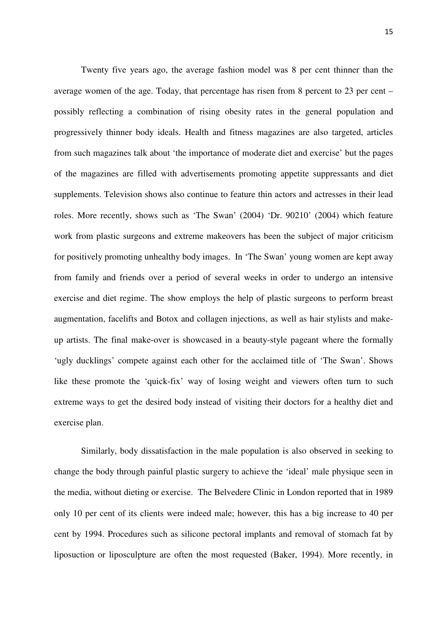Twenty five years ago, the average fashion model was 8 per cent thinner than the average women of the age. Today, that percentage has risen from 8 percent to 23 per cent – possibly reflecting a combination of rising obesity rates in the general population and progressively thinner body ideals. Health and fitness magazines are also targeted, articles from such magazines talk about 'the importance of moderate diet and exercise' but the pages of the magazines are filled with advertisements promoting appetite suppressants and diet supplements. Television shows also continue to feature thin actors and actresses in their lead roles. More recently, shows such as 'The Swan' (2004) 'Dr. 90210' (2004) which feature work from plastic surgeons and extreme makeovers has been the subject of major criticism for positively promoting unhealthy body images. In 'The Swan' young women are kept away from family and friends over a period of several weeks in order to undergo an intensive exercise and diet regime. The show employs the help of plastic surgeons to perform breast augmentation, facelifts and Botox and collagen injections, as well as hair stylists and makeup artists. The final make-over is showcased in a beauty-style pageant where the formally 'ugly ducklings' compete against each other for the acclaimed title of 'The Swan'. Shows like these promote the 'quick-fix' way of losing weight and viewers often turn to such extreme ways to get the desired body instead of visiting their doctors for a healthy diet and exercise plan.

Similarly, body dissatisfaction in the male population is also observed in seeking to change the body through painful plastic surgery to achieve the 'ideal' male physique seen in the media, without dieting or exercise. The Belvedere Clinic in London reported that in 1989 only 10 per cent of its clients were indeed male; however, this has a big increase to 40 per cent by 1994. Procedures such as silicone pectoral implants and removal of stomach fat by liposuction or liposculpture are often the most requested (Baker, 1994). More recently, in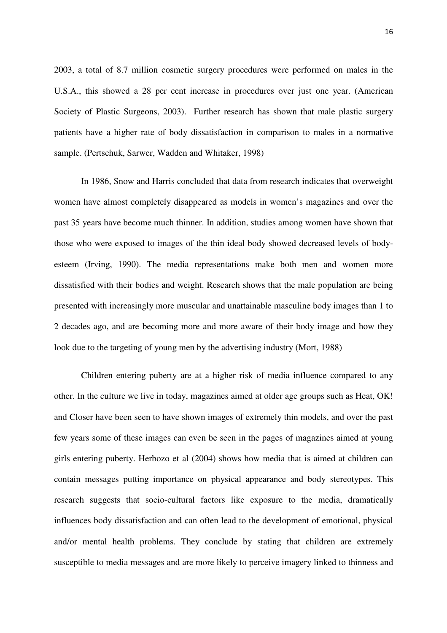2003, a total of 8.7 million cosmetic surgery procedures were performed on males in the U.S.A., this showed a 28 per cent increase in procedures over just one year. (American Society of Plastic Surgeons, 2003). Further research has shown that male plastic surgery patients have a higher rate of body dissatisfaction in comparison to males in a normative sample. (Pertschuk, Sarwer, Wadden and Whitaker, 1998)

In 1986, Snow and Harris concluded that data from research indicates that overweight women have almost completely disappeared as models in women's magazines and over the past 35 years have become much thinner. In addition, studies among women have shown that those who were exposed to images of the thin ideal body showed decreased levels of bodyesteem (Irving, 1990). The media representations make both men and women more dissatisfied with their bodies and weight. Research shows that the male population are being presented with increasingly more muscular and unattainable masculine body images than 1 to 2 decades ago, and are becoming more and more aware of their body image and how they look due to the targeting of young men by the advertising industry (Mort, 1988)

Children entering puberty are at a higher risk of media influence compared to any other. In the culture we live in today, magazines aimed at older age groups such as Heat, OK! and Closer have been seen to have shown images of extremely thin models, and over the past few years some of these images can even be seen in the pages of magazines aimed at young girls entering puberty. Herbozo et al (2004) shows how media that is aimed at children can contain messages putting importance on physical appearance and body stereotypes. This research suggests that socio-cultural factors like exposure to the media, dramatically influences body dissatisfaction and can often lead to the development of emotional, physical and/or mental health problems. They conclude by stating that children are extremely susceptible to media messages and are more likely to perceive imagery linked to thinness and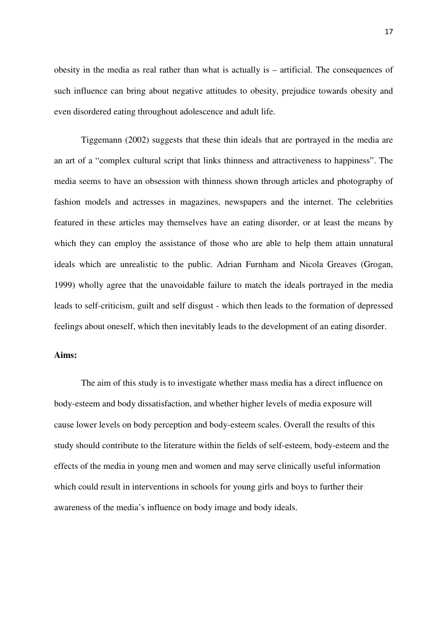obesity in the media as real rather than what is actually is – artificial. The consequences of such influence can bring about negative attitudes to obesity, prejudice towards obesity and even disordered eating throughout adolescence and adult life.

Tiggemann (2002) suggests that these thin ideals that are portrayed in the media are an art of a "complex cultural script that links thinness and attractiveness to happiness". The media seems to have an obsession with thinness shown through articles and photography of fashion models and actresses in magazines, newspapers and the internet. The celebrities featured in these articles may themselves have an eating disorder, or at least the means by which they can employ the assistance of those who are able to help them attain unnatural ideals which are unrealistic to the public. Adrian Furnham and Nicola Greaves (Grogan, 1999) wholly agree that the unavoidable failure to match the ideals portrayed in the media leads to self-criticism, guilt and self disgust - which then leads to the formation of depressed feelings about oneself, which then inevitably leads to the development of an eating disorder.

#### **Aims:**

The aim of this study is to investigate whether mass media has a direct influence on body-esteem and body dissatisfaction, and whether higher levels of media exposure will cause lower levels on body perception and body-esteem scales. Overall the results of this study should contribute to the literature within the fields of self-esteem, body-esteem and the effects of the media in young men and women and may serve clinically useful information which could result in interventions in schools for young girls and boys to further their awareness of the media's influence on body image and body ideals.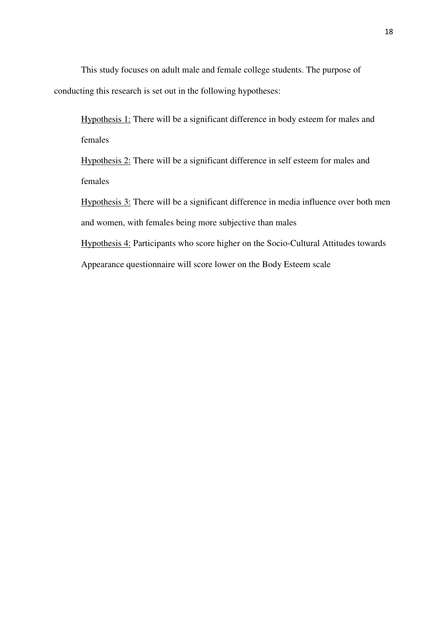This study focuses on adult male and female college students. The purpose of conducting this research is set out in the following hypotheses:

Hypothesis 1: There will be a significant difference in body esteem for males and females

Hypothesis 2: There will be a significant difference in self esteem for males and females

Hypothesis 3: There will be a significant difference in media influence over both men and women, with females being more subjective than males

Hypothesis 4: Participants who score higher on the Socio-Cultural Attitudes towards Appearance questionnaire will score lower on the Body Esteem scale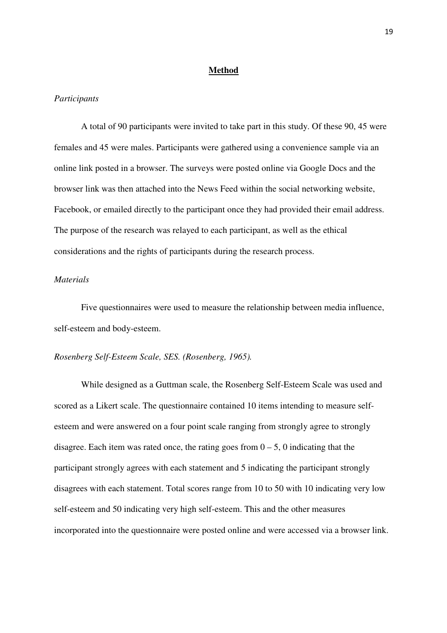#### **Method**

#### *Participants*

A total of 90 participants were invited to take part in this study. Of these 90, 45 were females and 45 were males. Participants were gathered using a convenience sample via an online link posted in a browser. The surveys were posted online via Google Docs and the browser link was then attached into the News Feed within the social networking website, Facebook, or emailed directly to the participant once they had provided their email address. The purpose of the research was relayed to each participant, as well as the ethical considerations and the rights of participants during the research process.

# *Materials*

Five questionnaires were used to measure the relationship between media influence, self-esteem and body-esteem.

#### *Rosenberg Self-Esteem Scale, SES. (Rosenberg, 1965).*

While designed as a Guttman scale, the Rosenberg Self-Esteem Scale was used and scored as a Likert scale. The questionnaire contained 10 items intending to measure selfesteem and were answered on a four point scale ranging from strongly agree to strongly disagree. Each item was rated once, the rating goes from  $0 - 5$ , 0 indicating that the participant strongly agrees with each statement and 5 indicating the participant strongly disagrees with each statement. Total scores range from 10 to 50 with 10 indicating very low self-esteem and 50 indicating very high self-esteem. This and the other measures incorporated into the questionnaire were posted online and were accessed via a browser link.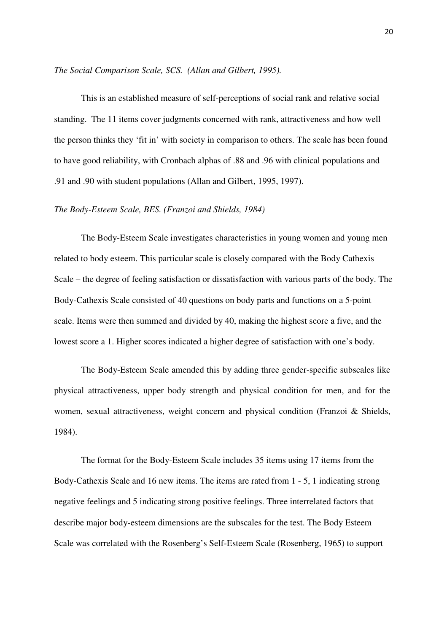*The Social Comparison Scale, SCS. (Allan and Gilbert, 1995).* 

This is an established measure of self-perceptions of social rank and relative social standing. The 11 items cover judgments concerned with rank, attractiveness and how well the person thinks they 'fit in' with society in comparison to others. The scale has been found to have good reliability, with Cronbach alphas of .88 and .96 with clinical populations and .91 and .90 with student populations (Allan and Gilbert, 1995, 1997).

### *The Body-Esteem Scale, BES. (Franzoi and Shields, 1984)*

The Body-Esteem Scale investigates characteristics in young women and young men related to body esteem. This particular scale is closely compared with the Body Cathexis Scale – the degree of feeling satisfaction or dissatisfaction with various parts of the body. The Body-Cathexis Scale consisted of 40 questions on body parts and functions on a 5-point scale. Items were then summed and divided by 40, making the highest score a five, and the lowest score a 1. Higher scores indicated a higher degree of satisfaction with one's body.

The Body-Esteem Scale amended this by adding three gender-specific subscales like physical attractiveness, upper body strength and physical condition for men, and for the women, sexual attractiveness, weight concern and physical condition (Franzoi & Shields, 1984).

The format for the Body-Esteem Scale includes 35 items using 17 items from the Body-Cathexis Scale and 16 new items. The items are rated from 1 - 5, 1 indicating strong negative feelings and 5 indicating strong positive feelings. Three interrelated factors that describe major body-esteem dimensions are the subscales for the test. The Body Esteem Scale was correlated with the Rosenberg's Self-Esteem Scale (Rosenberg, 1965) to support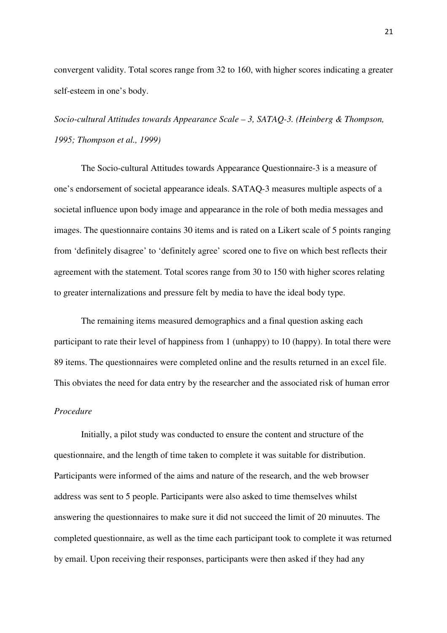convergent validity. Total scores range from 32 to 160, with higher scores indicating a greater self-esteem in one's body.

*Socio-cultural Attitudes towards Appearance Scale – 3, SATAQ-3. (Heinberg & Thompson, 1995; Thompson et al., 1999)* 

The Socio-cultural Attitudes towards Appearance Questionnaire-3 is a measure of one's endorsement of societal appearance ideals. SATAQ-3 measures multiple aspects of a societal influence upon body image and appearance in the role of both media messages and images. The questionnaire contains 30 items and is rated on a Likert scale of 5 points ranging from 'definitely disagree' to 'definitely agree' scored one to five on which best reflects their agreement with the statement. Total scores range from 30 to 150 with higher scores relating to greater internalizations and pressure felt by media to have the ideal body type.

The remaining items measured demographics and a final question asking each participant to rate their level of happiness from 1 (unhappy) to 10 (happy). In total there were 89 items. The questionnaires were completed online and the results returned in an excel file. This obviates the need for data entry by the researcher and the associated risk of human error

#### *Procedure*

Initially, a pilot study was conducted to ensure the content and structure of the questionnaire, and the length of time taken to complete it was suitable for distribution. Participants were informed of the aims and nature of the research, and the web browser address was sent to 5 people. Participants were also asked to time themselves whilst answering the questionnaires to make sure it did not succeed the limit of 20 minuutes. The completed questionnaire, as well as the time each participant took to complete it was returned by email. Upon receiving their responses, participants were then asked if they had any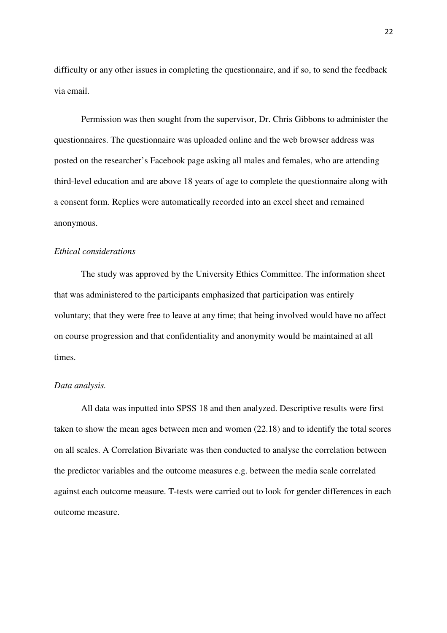difficulty or any other issues in completing the questionnaire, and if so, to send the feedback via email.

Permission was then sought from the supervisor, Dr. Chris Gibbons to administer the questionnaires. The questionnaire was uploaded online and the web browser address was posted on the researcher's Facebook page asking all males and females, who are attending third-level education and are above 18 years of age to complete the questionnaire along with a consent form. Replies were automatically recorded into an excel sheet and remained anonymous.

#### *Ethical considerations*

The study was approved by the University Ethics Committee. The information sheet that was administered to the participants emphasized that participation was entirely voluntary; that they were free to leave at any time; that being involved would have no affect on course progression and that confidentiality and anonymity would be maintained at all times.

#### *Data analysis.*

All data was inputted into SPSS 18 and then analyzed. Descriptive results were first taken to show the mean ages between men and women (22.18) and to identify the total scores on all scales. A Correlation Bivariate was then conducted to analyse the correlation between the predictor variables and the outcome measures e.g. between the media scale correlated against each outcome measure. T-tests were carried out to look for gender differences in each outcome measure.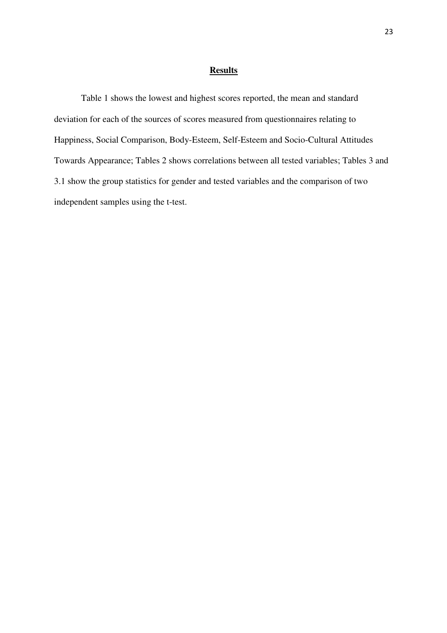#### **Results**

Table 1 shows the lowest and highest scores reported, the mean and standard deviation for each of the sources of scores measured from questionnaires relating to Happiness, Social Comparison, Body-Esteem, Self-Esteem and Socio-Cultural Attitudes Towards Appearance; Tables 2 shows correlations between all tested variables; Tables 3 and 3.1 show the group statistics for gender and tested variables and the comparison of two independent samples using the t-test.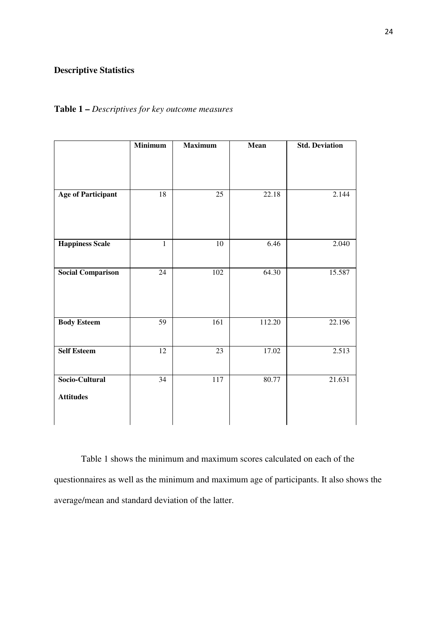# **Descriptive Statistics**

# **Table 1 –** *Descriptives for key outcome measures*

|                                    | <b>Minimum</b> | <b>Maximum</b> | Mean   | <b>Std. Deviation</b> |
|------------------------------------|----------------|----------------|--------|-----------------------|
|                                    |                |                |        |                       |
| <b>Age of Participant</b>          | 18             | 25             | 22.18  | 2.144                 |
| <b>Happiness Scale</b>             | $\mathbf{1}$   | 10             | 6.46   | 2.040                 |
| <b>Social Comparison</b>           | 24             | 102            | 64.30  | 15.587                |
| <b>Body Esteem</b>                 | 59             | 161            | 112.20 | 22.196                |
| <b>Self Esteem</b>                 | 12             | 23             | 17.02  | 2.513                 |
| Socio-Cultural<br><b>Attitudes</b> | 34             | 117            | 80.77  | 21.631                |

Table 1 shows the minimum and maximum scores calculated on each of the questionnaires as well as the minimum and maximum age of participants. It also shows the average/mean and standard deviation of the latter.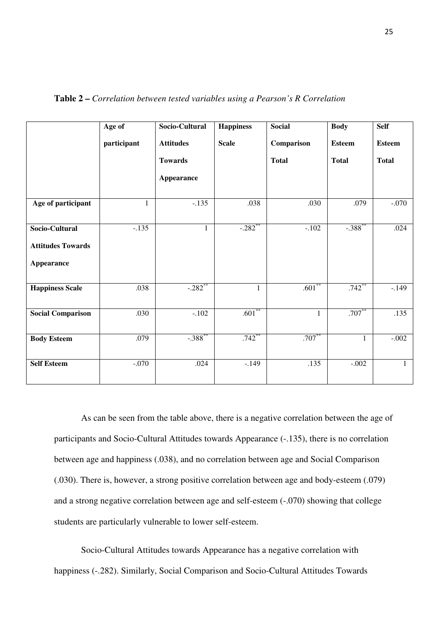|                          | Age of       | Socio-Cultural        | <b>Happiness</b>      | <b>Social</b> | <b>Body</b>          | <b>Self</b>   |
|--------------------------|--------------|-----------------------|-----------------------|---------------|----------------------|---------------|
|                          | participant  | <b>Attitudes</b>      | <b>Scale</b>          | Comparison    | <b>Esteem</b>        | <b>Esteem</b> |
|                          |              | <b>Towards</b>        |                       | <b>Total</b>  | <b>Total</b>         | <b>Total</b>  |
|                          |              | Appearance            |                       |               |                      |               |
| Age of participant       | $\mathbf{1}$ | $-.135$               | .038                  | .030          | .079                 | $-.070$       |
| Socio-Cultural           | $-.135$      | $\mathbf{1}$          | $-.282$ <sup>**</sup> | $-.102$       | $-.388$ **           | .024          |
| <b>Attitudes Towards</b> |              |                       |                       |               |                      |               |
| <b>Appearance</b>        |              |                       |                       |               |                      |               |
| <b>Happiness Scale</b>   | .038         | $-.282$ <sup>**</sup> | 1                     | $.601**$      | $.742$ <sup>**</sup> | $-.149$       |
| <b>Social Comparison</b> | .030         | $-.102$               | $.601$ <sup>**</sup>  | $\mathbf{1}$  | $.707**$             | .135          |
| <b>Body Esteem</b>       | .079         | $-.388$ **            | .742                  | $.707**$      | $\mathbf{1}$         | $-.002$       |
| <b>Self Esteem</b>       | $-.070$      | .024                  | $-.149$               | .135          | $-.002$              | $\mathbf{1}$  |

**Table 2 –** *Correlation between tested variables using a Pearson's R Correlation*

As can be seen from the table above, there is a negative correlation between the age of participants and Socio-Cultural Attitudes towards Appearance (-.135), there is no correlation between age and happiness (.038), and no correlation between age and Social Comparison (.030). There is, however, a strong positive correlation between age and body-esteem (.079) and a strong negative correlation between age and self-esteem (-.070) showing that college students are particularly vulnerable to lower self-esteem.

Socio-Cultural Attitudes towards Appearance has a negative correlation with happiness (-.282). Similarly, Social Comparison and Socio-Cultural Attitudes Towards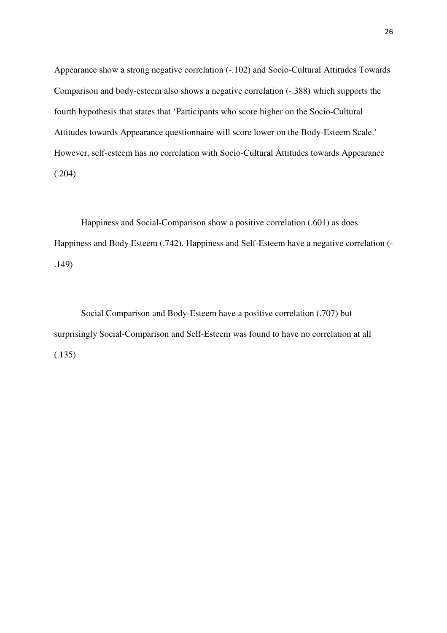Appearance show a strong negative correlation (-.102) and Socio-Cultural Attitudes Towards Comparison and body-esteem also shows a negative correlation (-.388) which supports the fourth hypothesis that states that 'Participants who score higher on the Socio-Cultural Attitudes towards Appearance questionnaire will score lower on the Body-Esteem Scale.' However, self-esteem has no correlation with Socio-Cultural Attitudes towards Appearance (.204)

Happiness and Social-Comparison show a positive correlation (.601) as does Happiness and Body Esteem (.742). Happiness and Self-Esteem have a negative correlation (- .149)

Social Comparison and Body-Esteem have a positive correlation (.707) but surprisingly Social-Comparison and Self-Esteem was found to have no correlation at all (.135)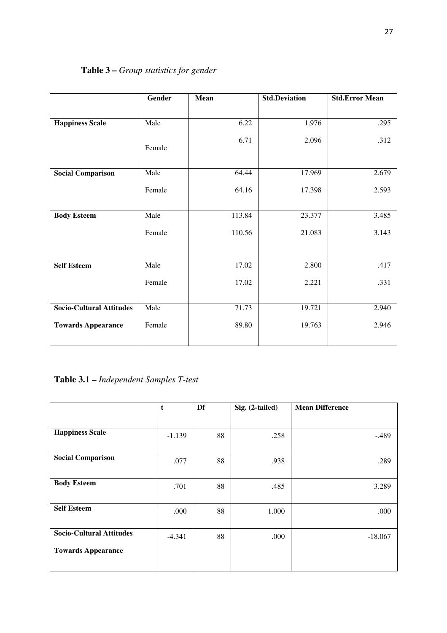|                                 | Gender | Mean   | <b>Std.Deviation</b> | <b>Std.Error Mean</b> |
|---------------------------------|--------|--------|----------------------|-----------------------|
|                                 |        |        |                      |                       |
| <b>Happiness Scale</b>          | Male   | 6.22   | 1.976                | .295                  |
|                                 | Female | 6.71   | 2.096                | .312                  |
| <b>Social Comparison</b>        | Male   | 64.44  | 17.969               | 2.679                 |
|                                 | Female | 64.16  | 17.398               | 2.593                 |
| <b>Body Esteem</b>              | Male   | 113.84 | 23.377               | 3.485                 |
|                                 | Female | 110.56 | 21.083               | 3.143                 |
|                                 |        |        |                      |                       |
| <b>Self Esteem</b>              | Male   | 17.02  | 2.800                | .417                  |
|                                 | Female | 17.02  | 2.221                | .331                  |
| <b>Socio-Cultural Attitudes</b> | Male   | 71.73  | 19.721               | 2.940                 |
|                                 |        |        |                      |                       |
| <b>Towards Appearance</b>       | Female | 89.80  | 19.763               | 2.946                 |
|                                 |        |        |                      |                       |

# **Table 3 –** *Group statistics for gender*

# **Table 3.1 –** *Independent Samples T-test*

|                                 | t        | Df | Sig. (2-tailed) | <b>Mean Difference</b> |
|---------------------------------|----------|----|-----------------|------------------------|
|                                 |          |    |                 |                        |
| <b>Happiness Scale</b>          | $-1.139$ | 88 | .258            | $-.489$                |
| <b>Social Comparison</b>        | .077     | 88 | .938            | .289                   |
| <b>Body Esteem</b>              | .701     | 88 | .485            | 3.289                  |
| <b>Self Esteem</b>              | .000     | 88 | 1.000           | .000                   |
| <b>Socio-Cultural Attitudes</b> | $-4.341$ | 88 | .000            | $-18.067$              |
| <b>Towards Appearance</b>       |          |    |                 |                        |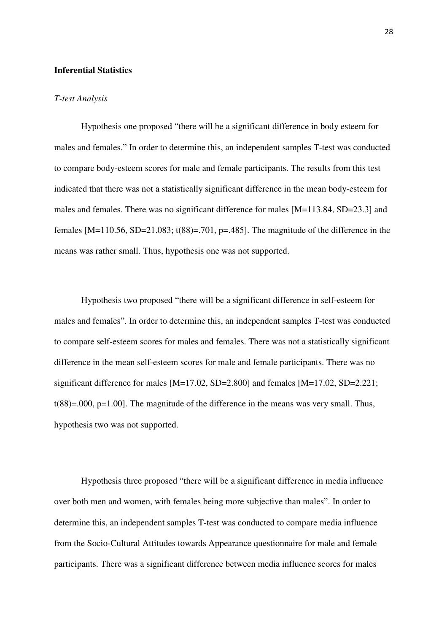# **Inferential Statistics**

#### *T-test Analysis*

Hypothesis one proposed "there will be a significant difference in body esteem for males and females." In order to determine this, an independent samples T-test was conducted to compare body-esteem scores for male and female participants. The results from this test indicated that there was not a statistically significant difference in the mean body-esteem for males and females. There was no significant difference for males [M=113.84, SD=23.3] and females  $[M=110.56, SD=21.083; t(88)=0.701, p=.485]$ . The magnitude of the difference in the means was rather small. Thus, hypothesis one was not supported.

Hypothesis two proposed "there will be a significant difference in self-esteem for males and females". In order to determine this, an independent samples T-test was conducted to compare self-esteem scores for males and females. There was not a statistically significant difference in the mean self-esteem scores for male and female participants. There was no significant difference for males [M=17.02, SD=2.800] and females [M=17.02, SD=2.221; t(88)=.000, p=1.00]. The magnitude of the difference in the means was very small. Thus, hypothesis two was not supported.

Hypothesis three proposed "there will be a significant difference in media influence over both men and women, with females being more subjective than males". In order to determine this, an independent samples T-test was conducted to compare media influence from the Socio-Cultural Attitudes towards Appearance questionnaire for male and female participants. There was a significant difference between media influence scores for males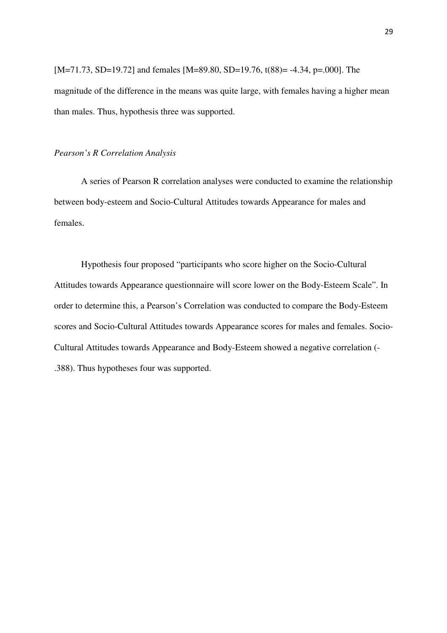[M=71.73, SD=19.72] and females [M=89.80, SD=19.76, t(88)= -4.34, p=.000]. The magnitude of the difference in the means was quite large, with females having a higher mean than males. Thus, hypothesis three was supported.

#### *Pearson's R Correlation Analysis*

A series of Pearson R correlation analyses were conducted to examine the relationship between body-esteem and Socio-Cultural Attitudes towards Appearance for males and females.

Hypothesis four proposed "participants who score higher on the Socio-Cultural Attitudes towards Appearance questionnaire will score lower on the Body-Esteem Scale". In order to determine this, a Pearson's Correlation was conducted to compare the Body-Esteem scores and Socio-Cultural Attitudes towards Appearance scores for males and females. Socio-Cultural Attitudes towards Appearance and Body-Esteem showed a negative correlation (- .388). Thus hypotheses four was supported.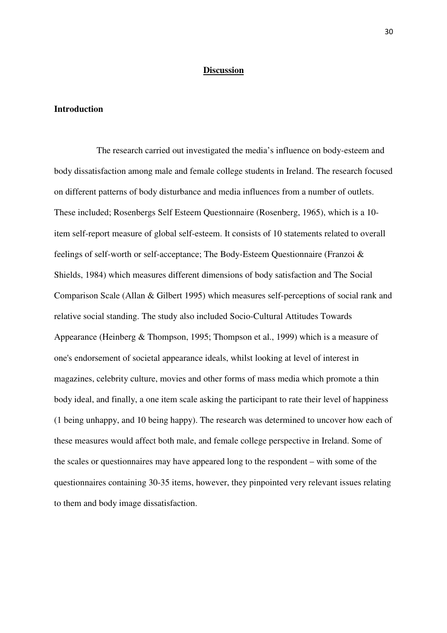# **Discussion**

#### **Introduction**

 The research carried out investigated the media's influence on body-esteem and body dissatisfaction among male and female college students in Ireland. The research focused on different patterns of body disturbance and media influences from a number of outlets. These included; Rosenbergs Self Esteem Questionnaire (Rosenberg, 1965), which is a 10 item self-report measure of global self-esteem. It consists of 10 statements related to overall feelings of self-worth or self-acceptance; The Body-Esteem Questionnaire (Franzoi & Shields, 1984) which measures different dimensions of body satisfaction and The Social Comparison Scale (Allan & Gilbert 1995) which measures self-perceptions of social rank and relative social standing. The study also included Socio-Cultural Attitudes Towards Appearance (Heinberg & Thompson, 1995; Thompson et al., 1999) which is a measure of one's endorsement of societal appearance ideals, whilst looking at level of interest in magazines, celebrity culture, movies and other forms of mass media which promote a thin body ideal, and finally, a one item scale asking the participant to rate their level of happiness (1 being unhappy, and 10 being happy). The research was determined to uncover how each of these measures would affect both male, and female college perspective in Ireland. Some of the scales or questionnaires may have appeared long to the respondent – with some of the questionnaires containing 30-35 items, however, they pinpointed very relevant issues relating to them and body image dissatisfaction.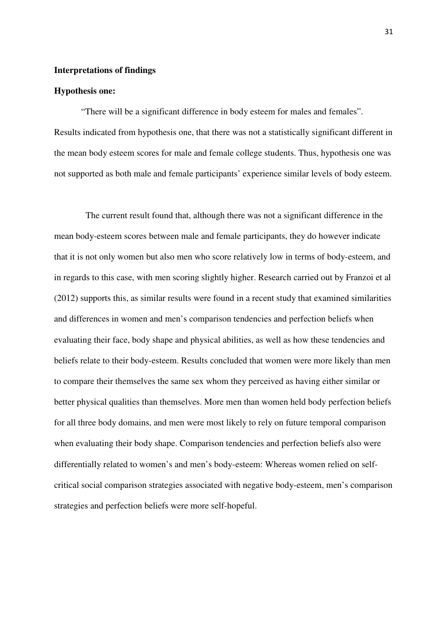### **Interpretations of findings**

#### **Hypothesis one:**

"There will be a significant difference in body esteem for males and females". Results indicated from hypothesis one, that there was not a statistically significant different in the mean body esteem scores for male and female college students. Thus, hypothesis one was not supported as both male and female participants' experience similar levels of body esteem.

 The current result found that, although there was not a significant difference in the mean body-esteem scores between male and female participants, they do however indicate that it is not only women but also men who score relatively low in terms of body-esteem, and in regards to this case, with men scoring slightly higher. Research carried out by Franzoi et al (2012) supports this, as similar results were found in a recent study that examined similarities and differences in women and men's comparison tendencies and perfection beliefs when evaluating their face, body shape and physical abilities, as well as how these tendencies and beliefs relate to their body-esteem. Results concluded that women were more likely than men to compare their themselves the same sex whom they perceived as having either similar or better physical qualities than themselves. More men than women held body perfection beliefs for all three body domains, and men were most likely to rely on future temporal comparison when evaluating their body shape. Comparison tendencies and perfection beliefs also were differentially related to women's and men's body-esteem: Whereas women relied on selfcritical social comparison strategies associated with negative body-esteem, men's comparison strategies and perfection beliefs were more self-hopeful.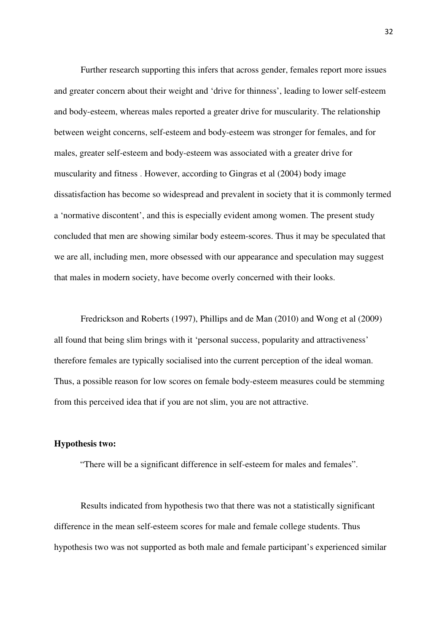Further research supporting this infers that across gender, females report more issues and greater concern about their weight and 'drive for thinness', leading to lower self-esteem and body-esteem, whereas males reported a greater drive for muscularity. The relationship between weight concerns, self-esteem and body-esteem was stronger for females, and for males, greater self-esteem and body-esteem was associated with a greater drive for muscularity and fitness . However, according to Gingras et al (2004) body image dissatisfaction has become so widespread and prevalent in society that it is commonly termed a 'normative discontent', and this is especially evident among women. The present study concluded that men are showing similar body esteem-scores. Thus it may be speculated that we are all, including men, more obsessed with our appearance and speculation may suggest that males in modern society, have become overly concerned with their looks.

 Fredrickson and Roberts (1997), Phillips and de Man (2010) and Wong et al (2009) all found that being slim brings with it 'personal success, popularity and attractiveness' therefore females are typically socialised into the current perception of the ideal woman. Thus, a possible reason for low scores on female body-esteem measures could be stemming from this perceived idea that if you are not slim, you are not attractive.

#### **Hypothesis two:**

"There will be a significant difference in self-esteem for males and females".

Results indicated from hypothesis two that there was not a statistically significant difference in the mean self-esteem scores for male and female college students. Thus hypothesis two was not supported as both male and female participant's experienced similar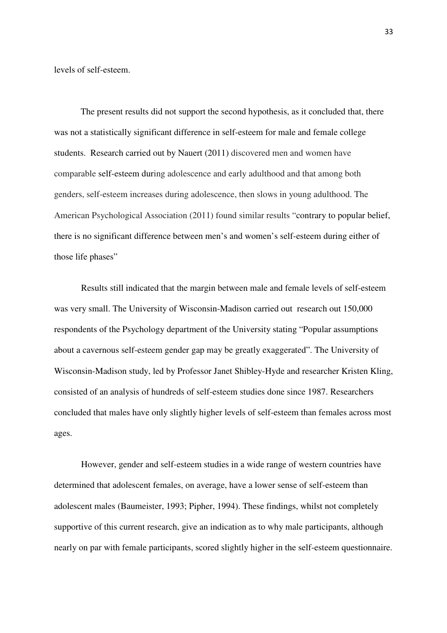levels of self-esteem.

 The present results did not support the second hypothesis, as it concluded that, there was not a statistically significant difference in self-esteem for male and female college students. Research carried out by Nauert (2011) discovered men and women have comparable self-esteem during adolescence and early adulthood and that among both genders, self-esteem increases during adolescence, then slows in young adulthood. The American Psychological Association (2011) found similar results "contrary to popular belief, there is no significant difference between men's and women's self-esteem during either of those life phases"

 Results still indicated that the margin between male and female levels of self-esteem was very small. The University of Wisconsin-Madison carried out research out 150,000 respondents of the Psychology department of the University stating "Popular assumptions about a cavernous self-esteem gender gap may be greatly exaggerated". The University of Wisconsin-Madison study, led by Professor Janet Shibley-Hyde and researcher Kristen Kling, consisted of an analysis of hundreds of self-esteem studies done since 1987. Researchers concluded that males have only slightly higher levels of self-esteem than females across most ages.

 However, gender and self-esteem studies in a wide range of western countries have determined that adolescent females, on average, have a lower sense of self-esteem than adolescent males (Baumeister, 1993; Pipher, 1994). These findings, whilst not completely supportive of this current research, give an indication as to why male participants, although nearly on par with female participants, scored slightly higher in the self-esteem questionnaire.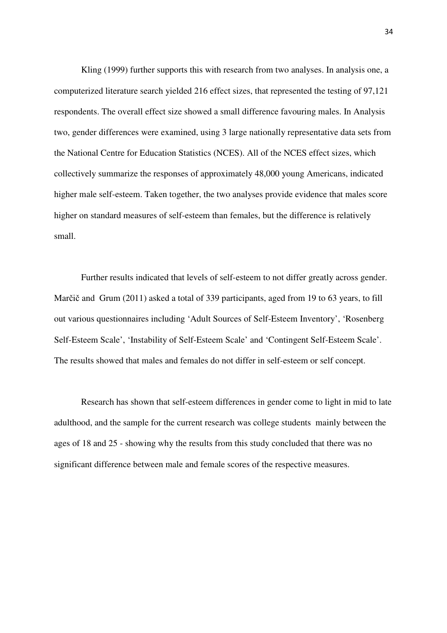Kling (1999) further supports this with research from two analyses. In analysis one, a computerized literature search yielded 216 effect sizes, that represented the testing of 97,121 respondents. The overall effect size showed a small difference favouring males. In Analysis two, gender differences were examined, using 3 large nationally representative data sets from the National Centre for Education Statistics (NCES). All of the NCES effect sizes, which collectively summarize the responses of approximately 48,000 young Americans, indicated higher male self-esteem. Taken together, the two analyses provide evidence that males score higher on standard measures of self-esteem than females, but the difference is relatively small.

Further results indicated that levels of self-esteem to not differ greatly across gender. Marčič and Grum (2011) asked a total of 339 participants, aged from 19 to 63 years, to fill out various questionnaires including 'Adult Sources of Self-Esteem Inventory', 'Rosenberg Self-Esteem Scale', 'Instability of Self-Esteem Scale' and 'Contingent Self-Esteem Scale'. The results showed that males and females do not differ in self-esteem or self concept.

Research has shown that self-esteem differences in gender come to light in mid to late adulthood, and the sample for the current research was college students mainly between the ages of 18 and 25 - showing why the results from this study concluded that there was no significant difference between male and female scores of the respective measures.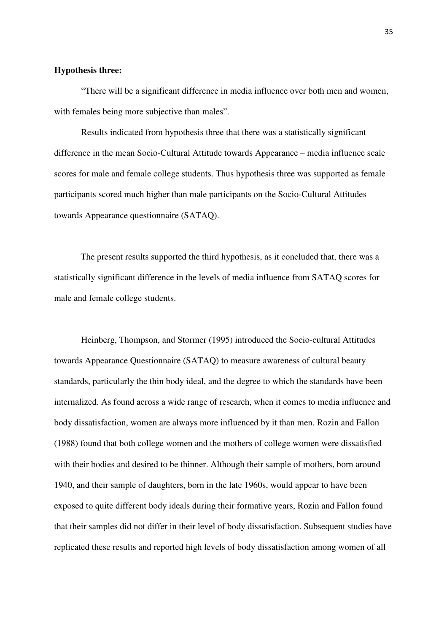# **Hypothesis three:**

"There will be a significant difference in media influence over both men and women, with females being more subjective than males".

 Results indicated from hypothesis three that there was a statistically significant difference in the mean Socio-Cultural Attitude towards Appearance – media influence scale scores for male and female college students. Thus hypothesis three was supported as female participants scored much higher than male participants on the Socio-Cultural Attitudes towards Appearance questionnaire (SATAQ).

 The present results supported the third hypothesis, as it concluded that, there was a statistically significant difference in the levels of media influence from SATAQ scores for male and female college students.

Heinberg, Thompson, and Stormer (1995) introduced the Socio-cultural Attitudes towards Appearance Questionnaire (SATAQ) to measure awareness of cultural beauty standards, particularly the thin body ideal, and the degree to which the standards have been internalized. As found across a wide range of research, when it comes to media influence and body dissatisfaction, women are always more influenced by it than men. Rozin and Fallon (1988) found that both college women and the mothers of college women were dissatisfied with their bodies and desired to be thinner. Although their sample of mothers, born around 1940, and their sample of daughters, born in the late 1960s, would appear to have been exposed to quite different body ideals during their formative years, Rozin and Fallon found that their samples did not differ in their level of body dissatisfaction. Subsequent studies have replicated these results and reported high levels of body dissatisfaction among women of all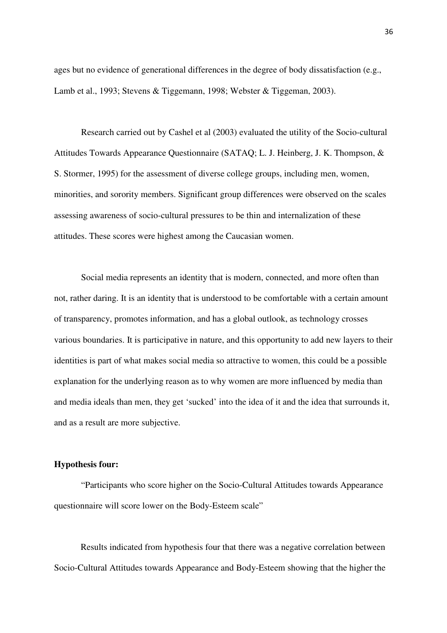ages but no evidence of generational differences in the degree of body dissatisfaction (e.g., Lamb et al., 1993; Stevens & Tiggemann, 1998; Webster & Tiggeman, 2003).

Research carried out by Cashel et al (2003) evaluated the utility of the Socio-cultural Attitudes Towards Appearance Questionnaire (SATAQ; L. J. Heinberg, J. K. Thompson, & S. Stormer, 1995) for the assessment of diverse college groups, including men, women, minorities, and sorority members. Significant group differences were observed on the scales assessing awareness of socio-cultural pressures to be thin and internalization of these attitudes. These scores were highest among the Caucasian women.

Social media represents an identity that is modern, connected, and more often than not, rather daring. It is an identity that is understood to be comfortable with a certain amount of transparency, promotes information, and has a global outlook, as technology crosses various boundaries. It is participative in nature, and this opportunity to add new layers to their identities is part of what makes social media so attractive to women, this could be a possible explanation for the underlying reason as to why women are more influenced by media than and media ideals than men, they get 'sucked' into the idea of it and the idea that surrounds it, and as a result are more subjective.

#### **Hypothesis four:**

"Participants who score higher on the Socio-Cultural Attitudes towards Appearance questionnaire will score lower on the Body-Esteem scale"

Results indicated from hypothesis four that there was a negative correlation between Socio-Cultural Attitudes towards Appearance and Body-Esteem showing that the higher the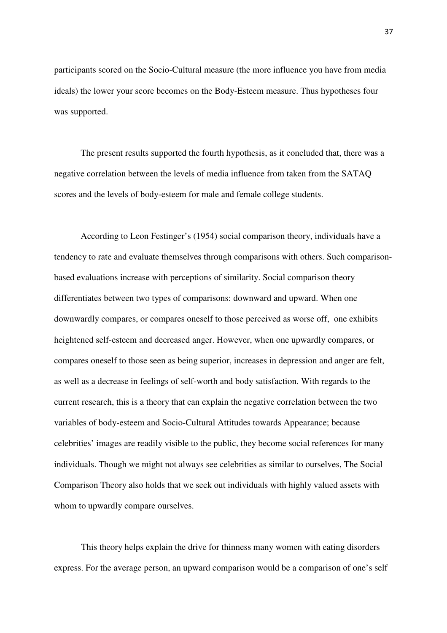participants scored on the Socio-Cultural measure (the more influence you have from media ideals) the lower your score becomes on the Body-Esteem measure. Thus hypotheses four was supported.

 The present results supported the fourth hypothesis, as it concluded that, there was a negative correlation between the levels of media influence from taken from the SATAQ scores and the levels of body-esteem for male and female college students.

 According to Leon Festinger's (1954) social comparison theory, individuals have a tendency to rate and evaluate themselves through comparisons with others. Such comparisonbased evaluations increase with perceptions of similarity. Social comparison theory differentiates between two types of comparisons: downward and upward. When one downwardly compares, or compares oneself to those perceived as worse off, one exhibits heightened self-esteem and decreased anger. However, when one upwardly compares, or compares oneself to those seen as being superior, increases in depression and anger are felt, as well as a decrease in feelings of self-worth and body satisfaction. With regards to the current research, this is a theory that can explain the negative correlation between the two variables of body-esteem and Socio-Cultural Attitudes towards Appearance; because celebrities' images are readily visible to the public, they become social references for many individuals. Though we might not always see celebrities as similar to ourselves, The Social Comparison Theory also holds that we seek out individuals with highly valued assets with whom to upwardly compare ourselves.

 This theory helps explain the drive for thinness many women with eating disorders express. For the average person, an upward comparison would be a comparison of one's self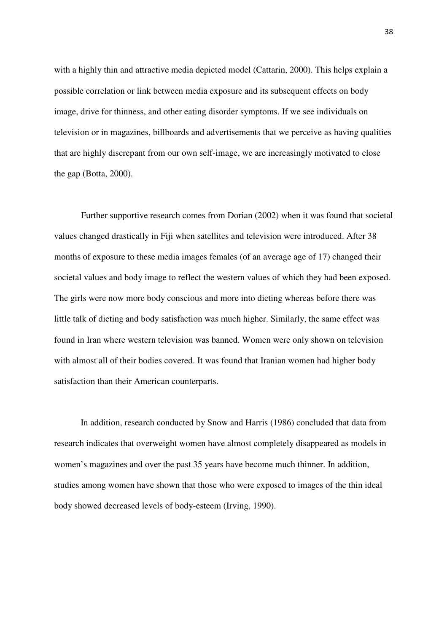with a highly thin and attractive media depicted model (Cattarin, 2000). This helps explain a possible correlation or link between media exposure and its subsequent effects on body image, drive for thinness, and other eating disorder symptoms. If we see individuals on television or in magazines, billboards and advertisements that we perceive as having qualities that are highly discrepant from our own self-image, we are increasingly motivated to close the gap (Botta, 2000).

 Further supportive research comes from Dorian (2002) when it was found that societal values changed drastically in Fiji when satellites and television were introduced. After 38 months of exposure to these media images females (of an average age of 17) changed their societal values and body image to reflect the western values of which they had been exposed. The girls were now more body conscious and more into dieting whereas before there was little talk of dieting and body satisfaction was much higher. Similarly, the same effect was found in Iran where western television was banned. Women were only shown on television with almost all of their bodies covered. It was found that Iranian women had higher body satisfaction than their American counterparts.

 In addition, research conducted by Snow and Harris (1986) concluded that data from research indicates that overweight women have almost completely disappeared as models in women's magazines and over the past 35 years have become much thinner. In addition, studies among women have shown that those who were exposed to images of the thin ideal body showed decreased levels of body-esteem (Irving, 1990).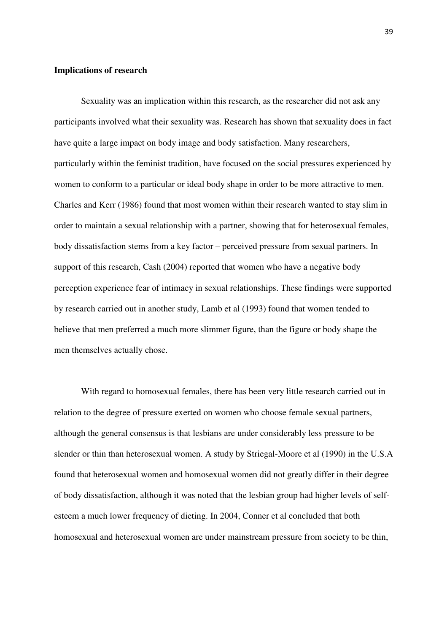# **Implications of research**

Sexuality was an implication within this research, as the researcher did not ask any participants involved what their sexuality was. Research has shown that sexuality does in fact have quite a large impact on body image and body satisfaction. Many researchers, particularly within the feminist tradition, have focused on the social pressures experienced by women to conform to a particular or ideal body shape in order to be more attractive to men. Charles and Kerr (1986) found that most women within their research wanted to stay slim in order to maintain a sexual relationship with a partner, showing that for heterosexual females, body dissatisfaction stems from a key factor – perceived pressure from sexual partners. In support of this research, Cash (2004) reported that women who have a negative body perception experience fear of intimacy in sexual relationships. These findings were supported by research carried out in another study, Lamb et al (1993) found that women tended to believe that men preferred a much more slimmer figure, than the figure or body shape the men themselves actually chose.

With regard to homosexual females, there has been very little research carried out in relation to the degree of pressure exerted on women who choose female sexual partners, although the general consensus is that lesbians are under considerably less pressure to be slender or thin than heterosexual women. A study by Striegal-Moore et al (1990) in the U.S.A found that heterosexual women and homosexual women did not greatly differ in their degree of body dissatisfaction, although it was noted that the lesbian group had higher levels of selfesteem a much lower frequency of dieting. In 2004, Conner et al concluded that both homosexual and heterosexual women are under mainstream pressure from society to be thin,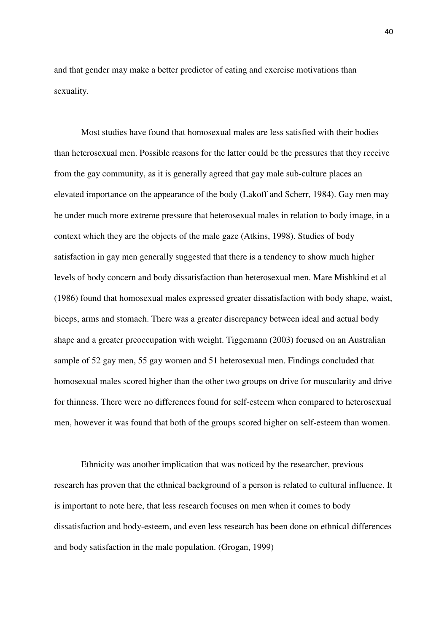and that gender may make a better predictor of eating and exercise motivations than sexuality.

 Most studies have found that homosexual males are less satisfied with their bodies than heterosexual men. Possible reasons for the latter could be the pressures that they receive from the gay community, as it is generally agreed that gay male sub-culture places an elevated importance on the appearance of the body (Lakoff and Scherr, 1984). Gay men may be under much more extreme pressure that heterosexual males in relation to body image, in a context which they are the objects of the male gaze (Atkins, 1998). Studies of body satisfaction in gay men generally suggested that there is a tendency to show much higher levels of body concern and body dissatisfaction than heterosexual men. Mare Mishkind et al (1986) found that homosexual males expressed greater dissatisfaction with body shape, waist, biceps, arms and stomach. There was a greater discrepancy between ideal and actual body shape and a greater preoccupation with weight. Tiggemann (2003) focused on an Australian sample of 52 gay men, 55 gay women and 51 heterosexual men. Findings concluded that homosexual males scored higher than the other two groups on drive for muscularity and drive for thinness. There were no differences found for self-esteem when compared to heterosexual men, however it was found that both of the groups scored higher on self-esteem than women.

Ethnicity was another implication that was noticed by the researcher, previous research has proven that the ethnical background of a person is related to cultural influence. It is important to note here, that less research focuses on men when it comes to body dissatisfaction and body-esteem, and even less research has been done on ethnical differences and body satisfaction in the male population. (Grogan, 1999)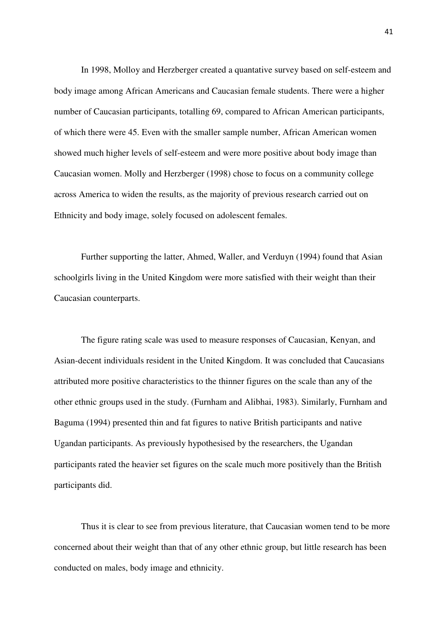In 1998, Molloy and Herzberger created a quantative survey based on self-esteem and body image among African Americans and Caucasian female students. There were a higher number of Caucasian participants, totalling 69, compared to African American participants, of which there were 45. Even with the smaller sample number, African American women showed much higher levels of self-esteem and were more positive about body image than Caucasian women. Molly and Herzberger (1998) chose to focus on a community college across America to widen the results, as the majority of previous research carried out on Ethnicity and body image, solely focused on adolescent females.

 Further supporting the latter, Ahmed, Waller, and Verduyn (1994) found that Asian schoolgirls living in the United Kingdom were more satisfied with their weight than their Caucasian counterparts.

 The figure rating scale was used to measure responses of Caucasian, Kenyan, and Asian-decent individuals resident in the United Kingdom. It was concluded that Caucasians attributed more positive characteristics to the thinner figures on the scale than any of the other ethnic groups used in the study. (Furnham and Alibhai, 1983). Similarly, Furnham and Baguma (1994) presented thin and fat figures to native British participants and native Ugandan participants. As previously hypothesised by the researchers, the Ugandan participants rated the heavier set figures on the scale much more positively than the British participants did.

 Thus it is clear to see from previous literature, that Caucasian women tend to be more concerned about their weight than that of any other ethnic group, but little research has been conducted on males, body image and ethnicity.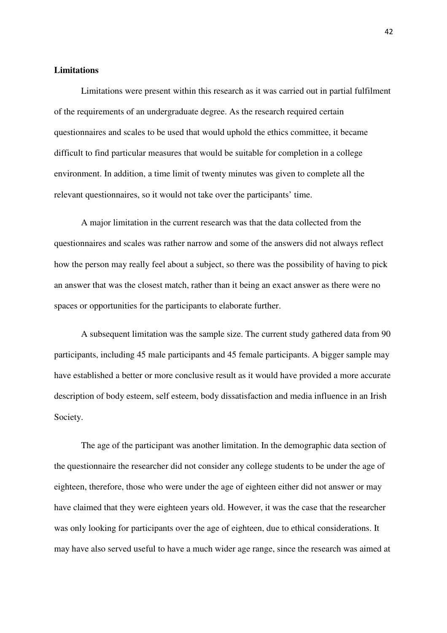#### **Limitations**

 Limitations were present within this research as it was carried out in partial fulfilment of the requirements of an undergraduate degree. As the research required certain questionnaires and scales to be used that would uphold the ethics committee, it became difficult to find particular measures that would be suitable for completion in a college environment. In addition, a time limit of twenty minutes was given to complete all the relevant questionnaires, so it would not take over the participants' time.

 A major limitation in the current research was that the data collected from the questionnaires and scales was rather narrow and some of the answers did not always reflect how the person may really feel about a subject, so there was the possibility of having to pick an answer that was the closest match, rather than it being an exact answer as there were no spaces or opportunities for the participants to elaborate further.

 A subsequent limitation was the sample size. The current study gathered data from 90 participants, including 45 male participants and 45 female participants. A bigger sample may have established a better or more conclusive result as it would have provided a more accurate description of body esteem, self esteem, body dissatisfaction and media influence in an Irish Society.

 The age of the participant was another limitation. In the demographic data section of the questionnaire the researcher did not consider any college students to be under the age of eighteen, therefore, those who were under the age of eighteen either did not answer or may have claimed that they were eighteen years old. However, it was the case that the researcher was only looking for participants over the age of eighteen, due to ethical considerations. It may have also served useful to have a much wider age range, since the research was aimed at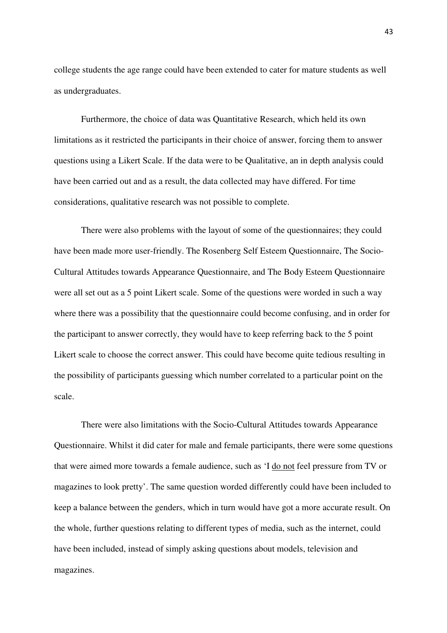college students the age range could have been extended to cater for mature students as well as undergraduates.

 Furthermore, the choice of data was Quantitative Research, which held its own limitations as it restricted the participants in their choice of answer, forcing them to answer questions using a Likert Scale. If the data were to be Qualitative, an in depth analysis could have been carried out and as a result, the data collected may have differed. For time considerations, qualitative research was not possible to complete.

 There were also problems with the layout of some of the questionnaires; they could have been made more user-friendly. The Rosenberg Self Esteem Questionnaire, The Socio-Cultural Attitudes towards Appearance Questionnaire, and The Body Esteem Questionnaire were all set out as a 5 point Likert scale. Some of the questions were worded in such a way where there was a possibility that the questionnaire could become confusing, and in order for the participant to answer correctly, they would have to keep referring back to the 5 point Likert scale to choose the correct answer. This could have become quite tedious resulting in the possibility of participants guessing which number correlated to a particular point on the scale.

 There were also limitations with the Socio-Cultural Attitudes towards Appearance Questionnaire. Whilst it did cater for male and female participants, there were some questions that were aimed more towards a female audience, such as 'I do not feel pressure from TV or magazines to look pretty'. The same question worded differently could have been included to keep a balance between the genders, which in turn would have got a more accurate result. On the whole, further questions relating to different types of media, such as the internet, could have been included, instead of simply asking questions about models, television and magazines.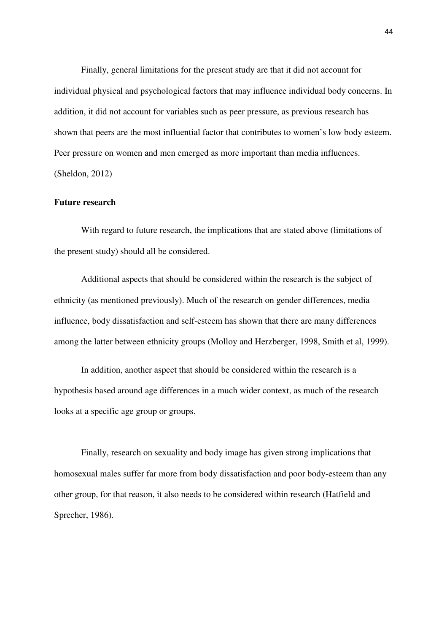Finally, general limitations for the present study are that it did not account for individual physical and psychological factors that may influence individual body concerns. In addition, it did not account for variables such as peer pressure, as previous research has shown that peers are the most influential factor that contributes to women's low body esteem. Peer pressure on women and men emerged as more important than media influences. (Sheldon, 2012)

#### **Future research**

 With regard to future research, the implications that are stated above (limitations of the present study) should all be considered.

 Additional aspects that should be considered within the research is the subject of ethnicity (as mentioned previously). Much of the research on gender differences, media influence, body dissatisfaction and self-esteem has shown that there are many differences among the latter between ethnicity groups (Molloy and Herzberger, 1998, Smith et al, 1999).

 In addition, another aspect that should be considered within the research is a hypothesis based around age differences in a much wider context, as much of the research looks at a specific age group or groups.

Finally, research on sexuality and body image has given strong implications that homosexual males suffer far more from body dissatisfaction and poor body-esteem than any other group, for that reason, it also needs to be considered within research (Hatfield and Sprecher, 1986).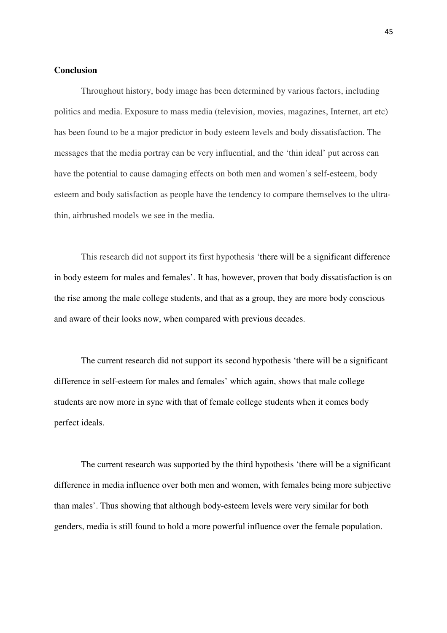### **Conclusion**

Throughout history, body image has been determined by various factors, including politics and media. Exposure to mass media (television, movies, magazines, Internet, art etc) has been found to be a major predictor in body esteem levels and body dissatisfaction. The messages that the media portray can be very influential, and the 'thin ideal' put across can have the potential to cause damaging effects on both men and women's self-esteem, body esteem and body satisfaction as people have the tendency to compare themselves to the ultrathin, airbrushed models we see in the media.

This research did not support its first hypothesis 'there will be a significant difference in body esteem for males and females'. It has, however, proven that body dissatisfaction is on the rise among the male college students, and that as a group, they are more body conscious and aware of their looks now, when compared with previous decades.

The current research did not support its second hypothesis 'there will be a significant difference in self-esteem for males and females' which again, shows that male college students are now more in sync with that of female college students when it comes body perfect ideals.

The current research was supported by the third hypothesis 'there will be a significant difference in media influence over both men and women, with females being more subjective than males'. Thus showing that although body-esteem levels were very similar for both genders, media is still found to hold a more powerful influence over the female population.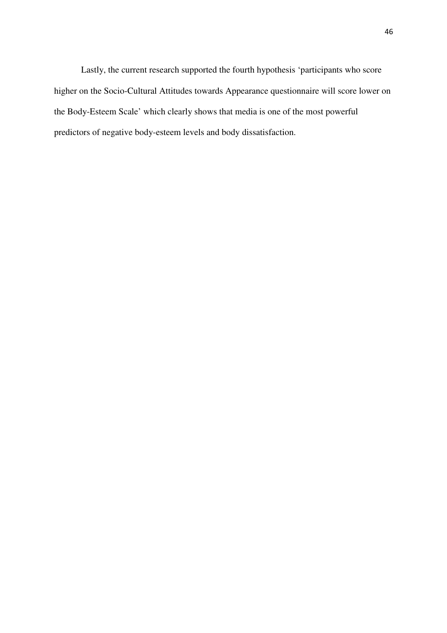Lastly, the current research supported the fourth hypothesis 'participants who score higher on the Socio-Cultural Attitudes towards Appearance questionnaire will score lower on the Body-Esteem Scale' which clearly shows that media is one of the most powerful predictors of negative body-esteem levels and body dissatisfaction.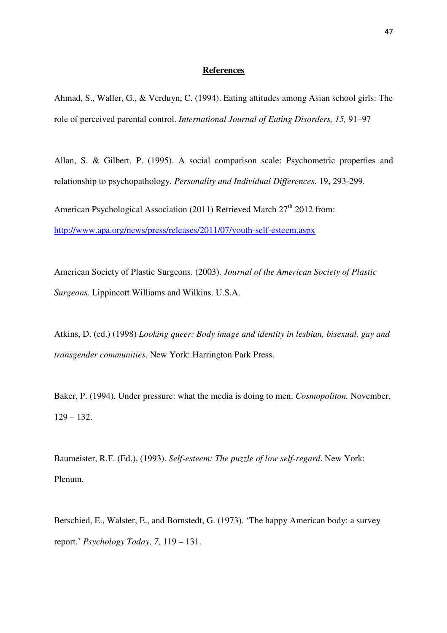#### **References**

Ahmad, S., Waller, G., & Verduyn, C. (1994). Eating attitudes among Asian school girls: The role of perceived parental control. *International Journal of Eating Disorders, 15,* 91–97

Allan, S. & Gilbert, P. (1995). A social comparison scale: Psychometric properties and relationship to psychopathology. *Personality and Individual Differences*, 19, 293-299.

American Psychological Association (2011) Retrieved March  $27<sup>th</sup>$  2012 from: http://www.apa.org/news/press/releases/2011/07/youth-self-esteem.aspx

American Society of Plastic Surgeons. (2003). *Journal of the American Society of Plastic Surgeons.* Lippincott Williams and Wilkins. U.S.A.

Atkins, D. (ed.) (1998) *Looking queer: Body image and identity in lesbian, bisexual, gay and transgender communities*, New York: Harrington Park Press.

Baker, P. (1994). Under pressure: what the media is doing to men. *Cosmopoliton.* November,  $129 - 132.$ 

Baumeister, R.F. (Ed.), (1993). *Self-esteem: The puzzle of low self-regard*. New York: Plenum.

Berschied, E., Walster, E., and Bornstedt, G. (1973). 'The happy American body: a survey report.' *Psychology Today, 7,* 119 – 131.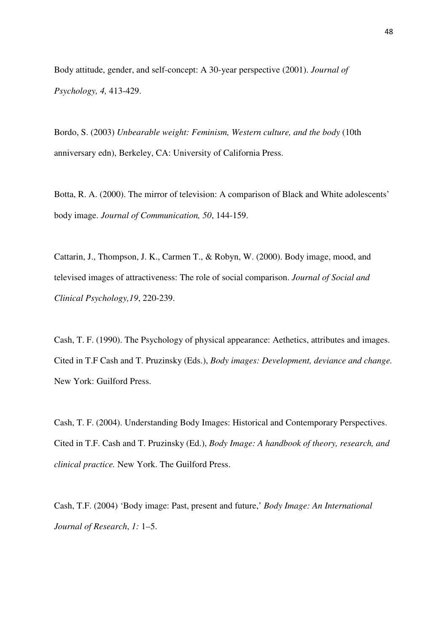Body attitude, gender, and self-concept: A 30-year perspective (2001). *Journal of Psychology, 4,* 413-429.

Bordo, S. (2003) *Unbearable weight: Feminism, Western culture, and the body* (10th anniversary edn), Berkeley, CA: University of California Press.

Botta, R. A. (2000). The mirror of television: A comparison of Black and White adolescents' body image. *Journal of Communication, 50*, 144-159.

Cattarin, J., Thompson, J. K., Carmen T., & Robyn, W. (2000). Body image, mood, and televised images of attractiveness: The role of social comparison. *Journal of Social and Clinical Psychology,19*, 220-239.

Cash, T. F. (1990). The Psychology of physical appearance: Aethetics, attributes and images. Cited in T.F Cash and T. Pruzinsky (Eds.), *Body images: Development, deviance and change.*  New York: Guilford Press.

Cash, T. F. (2004). Understanding Body Images: Historical and Contemporary Perspectives. Cited in T.F. Cash and T. Pruzinsky (Ed.), *Body Image: A handbook of theory, research, and clinical practice.* New York. The Guilford Press.

Cash, T.F. (2004) 'Body image: Past, present and future,' *Body Image: An International Journal of Research*, *1:* 1–5.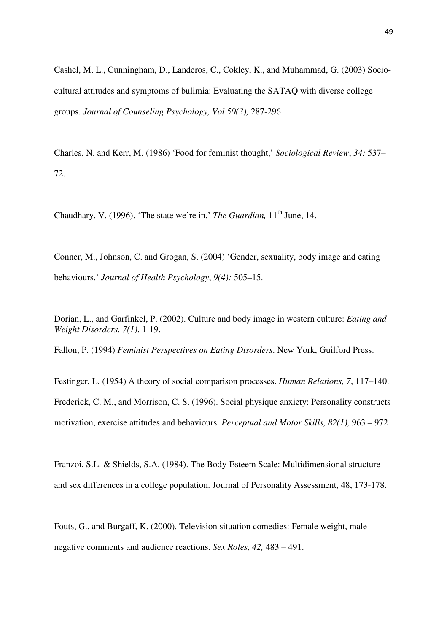Cashel, M, L., Cunningham, D., Landeros, C., Cokley, K., and Muhammad, G. (2003) Sociocultural attitudes and symptoms of bulimia: Evaluating the SATAQ with diverse college groups. *Journal of Counseling Psychology, Vol 50(3),* 287-296

Charles, N. and Kerr, M. (1986) 'Food for feminist thought,' *Sociological Review*, *34:* 537– 72.

Chaudhary, V. (1996). 'The state we're in.' *The Guardian*, 11<sup>th</sup> June, 14.

Conner, M., Johnson, C. and Grogan, S. (2004) 'Gender, sexuality, body image and eating behaviours,' *Journal of Health Psychology*, *9(4):* 505–15.

Dorian, L., and Garfinkel, P. (2002). Culture and body image in western culture: *Eating and Weight Disorders. 7(1)*, 1-19.

Fallon, P. (1994) *Feminist Perspectives on Eating Disorders*. New York, Guilford Press.

Festinger, L. (1954) A theory of social comparison processes. *Human Relations, 7*, 117–140. Frederick, C. M., and Morrison, C. S. (1996). Social physique anxiety: Personality constructs motivation, exercise attitudes and behaviours. *Perceptual and Motor Skills, 82(1),* 963 – 972

Franzoi, S.L. & Shields, S.A. (1984). The Body-Esteem Scale: Multidimensional structure and sex differences in a college population. Journal of Personality Assessment, 48, 173-178.

Fouts, G., and Burgaff, K. (2000). Television situation comedies: Female weight, male negative comments and audience reactions. *Sex Roles, 42,* 483 – 491.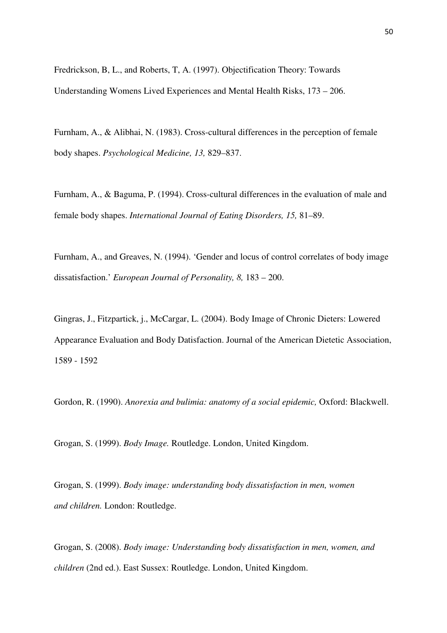Fredrickson, B, L., and Roberts, T, A. (1997). Objectification Theory: Towards Understanding Womens Lived Experiences and Mental Health Risks, 173 – 206.

Furnham, A., & Alibhai, N. (1983). Cross-cultural differences in the perception of female body shapes. *Psychological Medicine, 13,* 829–837.

Furnham, A., & Baguma, P. (1994). Cross-cultural differences in the evaluation of male and female body shapes. *International Journal of Eating Disorders, 15,* 81–89.

Furnham, A., and Greaves, N. (1994). 'Gender and locus of control correlates of body image dissatisfaction.' *European Journal of Personality, 8,* 183 – 200.

Gingras, J., Fitzpartick, j., McCargar, L. (2004). Body Image of Chronic Dieters: Lowered Appearance Evaluation and Body Datisfaction. Journal of the American Dietetic Association, 1589 - 1592

Gordon, R. (1990). *Anorexia and bulimia: anatomy of a social epidemic,* Oxford: Blackwell.

Grogan, S. (1999). *Body Image.* Routledge. London, United Kingdom.

Grogan, S. (1999). *Body image: understanding body dissatisfaction in men, women and children.* London: Routledge.

Grogan, S. (2008). *Body image: Understanding body dissatisfaction in men, women, and children* (2nd ed.). East Sussex: Routledge. London, United Kingdom.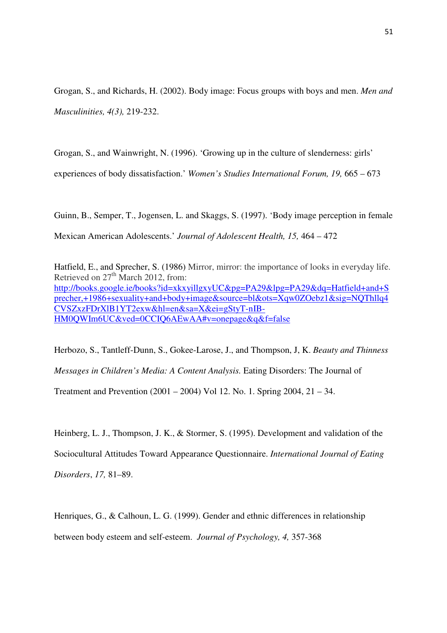Grogan, S., and Richards, H. (2002). Body image: Focus groups with boys and men. *Men and Masculinities, 4(3),* 219-232.

Grogan, S., and Wainwright, N. (1996). 'Growing up in the culture of slenderness: girls'

experiences of body dissatisfaction.' *Women's Studies International Forum, 19,* 665 – 673

Guinn, B., Semper, T., Jogensen, L. and Skaggs, S. (1997). 'Body image perception in female Mexican American Adolescents.' *Journal of Adolescent Health, 15,* 464 – 472

Hatfield, E., and Sprecher, S. (1986) Mirror, mirror: the importance of looks in everyday life. Retrieved on  $27<sup>th</sup>$  March 2012, from: http://books.google.ie/books?id=xkxyillgxyUC&pg=PA29&lpg=PA29&dq=Hatfield+and+S precher,+1986+sexuality+and+body+image&source=bl&ots=Xqw0ZOebz1&sig=NQThllq4 CVSZxzFDrXlB1YT2exw&hl=en&sa=X&ei=gStyT-nIB-HM0QWIm6UC&ved=0CCIQ6AEwAA#v=onepage&q&f=false

Herbozo, S., Tantleff-Dunn, S., Gokee-Larose, J., and Thompson, J, K. *Beauty and Thinness Messages in Children's Media: A Content Analysis.* Eating Disorders: The Journal of

Treatment and Prevention (2001 – 2004) Vol 12. No. 1. Spring 2004, 21 – 34.

Heinberg, L. J., Thompson, J. K., & Stormer, S. (1995). Development and validation of the Sociocultural Attitudes Toward Appearance Questionnaire. *International Journal of Eating Disorders*, *17,* 81–89.

Henriques, G., & Calhoun, L. G. (1999). Gender and ethnic differences in relationship between body esteem and self-esteem. *Journal of Psychology, 4,* 357-368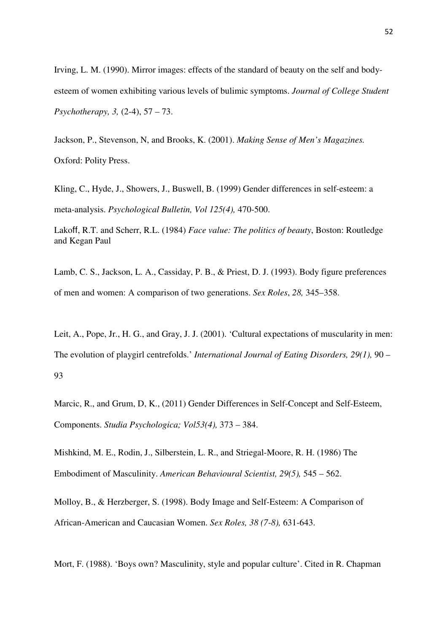Irving, L. M. (1990). Mirror images: effects of the standard of beauty on the self and bodyesteem of women exhibiting various levels of bulimic symptoms. *Journal of College Student Psychotherapy, 3,* (2-4), 57 – 73.

Jackson, P., Stevenson, N, and Brooks, K. (2001). *Making Sense of Men's Magazines.*  Oxford: Polity Press.

Kling, C., Hyde, J., Showers, J., Buswell, B. (1999) Gender differences in self-esteem: a meta-analysis. *Psychological Bulletin, Vol 125(4),* 470-500.

Lakoff, R.T. and Scherr, R.L. (1984) *Face value: The politics of beauty*, Boston: Routledge and Kegan Paul

Lamb, C. S., Jackson, L. A., Cassiday, P. B., & Priest, D. J. (1993). Body figure preferences of men and women: A comparison of two generations. *Sex Roles*, *28,* 345–358.

Leit, A., Pope, Jr., H. G., and Gray, J. J. (2001). 'Cultural expectations of muscularity in men: The evolution of playgirl centrefolds.' *International Journal of Eating Disorders, 29(1),* 90 – 93

Marcic, R., and Grum, D, K., (2011) Gender Differences in Self-Concept and Self-Esteem, Components. *Studia Psychologica; Vol53(4),* 373 – 384.

Mishkind, M. E., Rodin, J., Silberstein, L. R., and Striegal-Moore, R. H. (1986) The Embodiment of Masculinity. *American Behavioural Scientist, 29(5),* 545 – 562.

Molloy, B., & Herzberger, S. (1998). Body Image and Self-Esteem: A Comparison of African-American and Caucasian Women. *Sex Roles, 38 (7-8),* 631-643.

Mort, F. (1988). 'Boys own? Masculinity, style and popular culture'. Cited in R. Chapman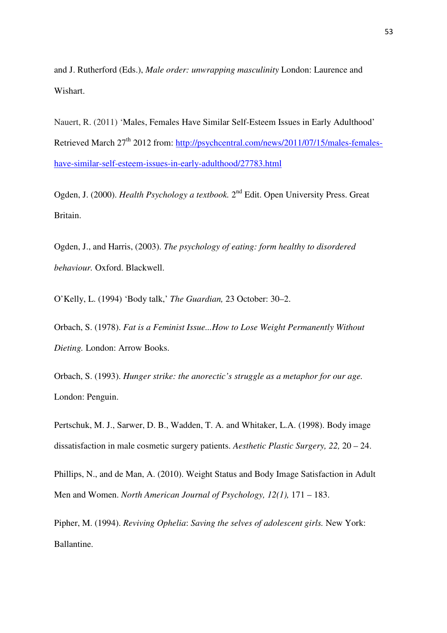and J. Rutherford (Eds.), *Male order: unwrapping masculinity* London: Laurence and Wishart.

Nauert, R. (2011) 'Males, Females Have Similar Self-Esteem Issues in Early Adulthood' Retrieved March 27<sup>th</sup> 2012 from: http://psychcentral.com/news/2011/07/15/males-femaleshave-similar-self-esteem-issues-in-early-adulthood/27783.html

Ogden, J. (2000). *Health Psychology a textbook*. 2<sup>nd</sup> Edit. Open University Press. Great Britain.

Ogden, J., and Harris, (2003). *The psychology of eating: form healthy to disordered behaviour.* Oxford. Blackwell.

O'Kelly, L. (1994) 'Body talk,' *The Guardian,* 23 October: 30–2.

Orbach, S. (1978). *Fat is a Feminist Issue...How to Lose Weight Permanently Without Dieting.* London: Arrow Books.

Orbach, S. (1993). *Hunger strike: the anorectic's struggle as a metaphor for our age.*  London: Penguin.

Pertschuk, M. J., Sarwer, D. B., Wadden, T. A. and Whitaker, L.A. (1998). Body image dissatisfaction in male cosmetic surgery patients. *Aesthetic Plastic Surgery, 22,* 20 – 24.

Phillips, N., and de Man, A. (2010). Weight Status and Body Image Satisfaction in Adult Men and Women. *North American Journal of Psychology, 12(1),* 171 – 183.

Pipher, M. (1994). *Reviving Ophelia*: *Saving the selves of adolescent girls.* New York: Ballantine.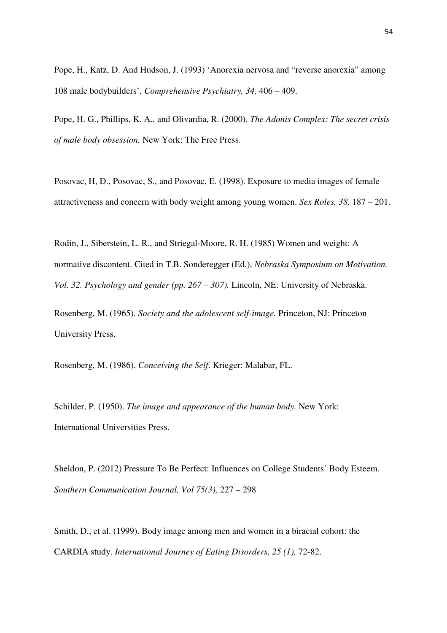Pope, H., Katz, D. And Hudson, J. (1993) 'Anorexia nervosa and "reverse anorexia" among 108 male bodybuilders', *Comprehensive Psychiatry, 34,* 406 – 409.

Pope, H. G., Phillips, K. A., and Olivardia, R. (2000). *The Adonis Complex: The secret crisis of male body obsession.* New York: The Free Press.

Posovac, H, D., Posovac, S., and Posovac, E. (1998). Exposure to media images of female attractiveness and concern with body weight among young women. *Sex Roles, 38,* 187 – 201.

Rodin, J., Siberstein, L. R., and Striegal-Moore, R. H. (1985) Women and weight: A normative discontent. Cited in T.B. Sonderegger (Ed.), *Nebraska Symposium on Motivation. Vol. 32. Psychology and gender (pp. 267 – 307).* Lincoln, NE: University of Nebraska.

Rosenberg, M. (1965). *Society and the adolescent self-image.* Princeton, NJ: Princeton University Press.

Rosenberg, M. (1986). *Conceiving the Self*. Krieger: Malabar, FL.

Schilder, P. (1950). *The image and appearance of the human body.* New York: International Universities Press.

Sheldon, P. (2012) Pressure To Be Perfect: Influences on College Students' Body Esteem. *Southern Communication Journal, Vol 75(3),* 227 – 298

Smith, D., et al. (1999). Body image among men and women in a biracial cohort: the CARDIA study. *International Journey of Eating Disorders, 25 (1),* 72-82.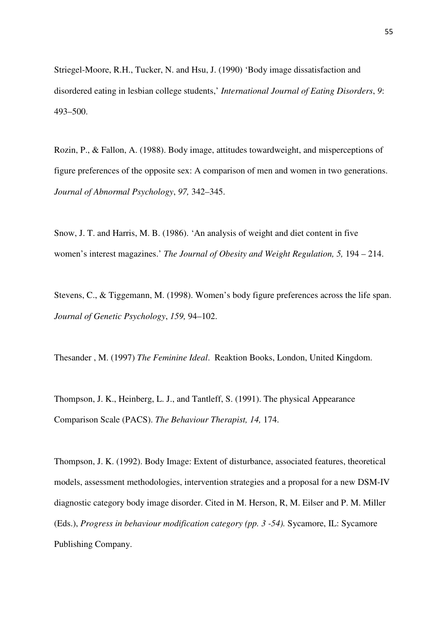Striegel-Moore, R.H., Tucker, N. and Hsu, J. (1990) 'Body image dissatisfaction and disordered eating in lesbian college students,' *International Journal of Eating Disorders*, *9*: 493–500.

Rozin, P., & Fallon, A. (1988). Body image, attitudes towardweight, and misperceptions of figure preferences of the opposite sex: A comparison of men and women in two generations. *Journal of Abnormal Psychology*, *97,* 342–345.

Snow, J. T. and Harris, M. B. (1986). 'An analysis of weight and diet content in five women's interest magazines.' *The Journal of Obesity and Weight Regulation, 5,* 194 – 214.

Stevens, C., & Tiggemann, M. (1998). Women's body figure preferences across the life span. *Journal of Genetic Psychology*, *159,* 94–102.

Thesander , M. (1997) *The Feminine Ideal*. Reaktion Books, London, United Kingdom.

Thompson, J. K., Heinberg, L. J., and Tantleff, S. (1991). The physical Appearance Comparison Scale (PACS). *The Behaviour Therapist, 14,* 174.

Thompson, J. K. (1992). Body Image: Extent of disturbance, associated features, theoretical models, assessment methodologies, intervention strategies and a proposal for a new DSM-IV diagnostic category body image disorder. Cited in M. Herson, R, M. Eilser and P. M. Miller (Eds.), *Progress in behaviour modification category (pp. 3 -54).* Sycamore, IL: Sycamore Publishing Company.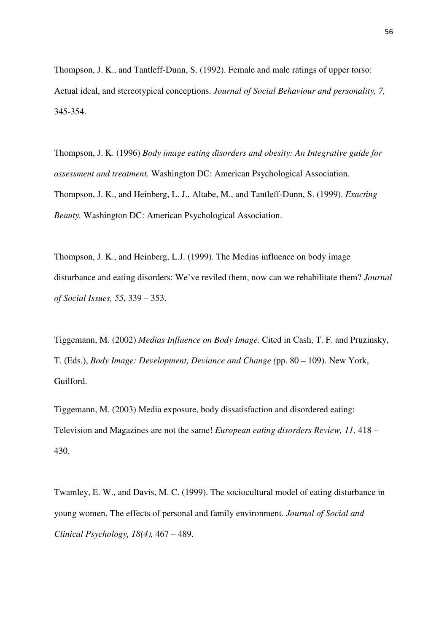Thompson, J. K., and Tantleff-Dunn, S. (1992). Female and male ratings of upper torso: Actual ideal, and stereotypical conceptions. *Journal of Social Behaviour and personality, 7,*  345-354.

Thompson, J. K. (1996) *Body image eating disorders and obesity: An Integrative guide for assessment and treatment.* Washington DC: American Psychological Association. Thompson, J. K., and Heinberg, L. J., Altabe, M., and Tantleff-Dunn, S. (1999). *Exacting Beauty.* Washington DC: American Psychological Association.

Thompson, J. K., and Heinberg, L.J. (1999). The Medias influence on body image disturbance and eating disorders: We've reviled them, now can we rehabilitate them? *Journal of Social Issues, 55,* 339 – 353.

Tiggemann, M. (2002) *Medias Influence on Body Image.* Cited in Cash, T. F. and Pruzinsky, T. (Eds.), *Body Image: Development, Deviance and Change (*pp. 80 – 109). New York, Guilford.

Tiggemann, M. (2003) Media exposure, body dissatisfaction and disordered eating: Television and Magazines are not the same! *European eating disorders Review, 11,* 418 – 430.

Twamley, E. W., and Davis, M. C. (1999). The sociocultural model of eating disturbance in young women. The effects of personal and family environment. *Journal of Social and Clinical Psychology, 18(4),* 467 – 489.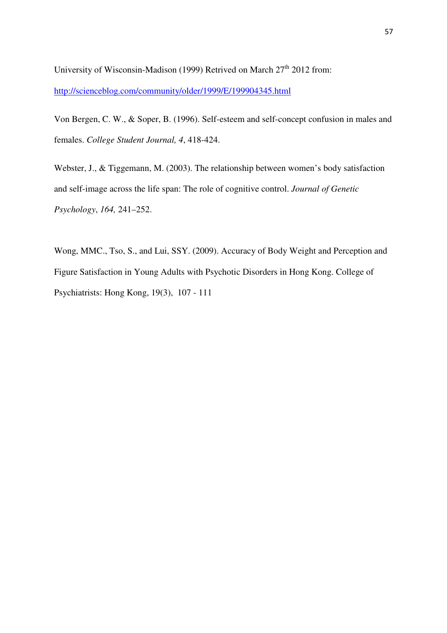University of Wisconsin-Madison (1999) Retrived on March  $27<sup>th</sup> 2012$  from: http://scienceblog.com/community/older/1999/E/199904345.html

Von Bergen, C. W., & Soper, B. (1996). Self-esteem and self-concept confusion in males and females. *College Student Journal, 4*, 418-424.

Webster, J., & Tiggemann, M. (2003). The relationship between women's body satisfaction and self-image across the life span: The role of cognitive control. *Journal of Genetic Psychology*, *164,* 241–252.

Wong, MMC., Tso, S., and Lui, SSY. (2009). Accuracy of Body Weight and Perception and Figure Satisfaction in Young Adults with Psychotic Disorders in Hong Kong. College of Psychiatrists: Hong Kong, 19(3), 107 - 111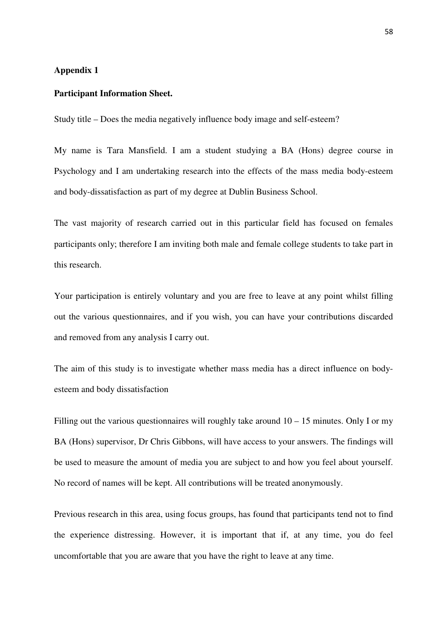# **Appendix 1**

#### **Participant Information Sheet.**

Study title – Does the media negatively influence body image and self-esteem?

My name is Tara Mansfield. I am a student studying a BA (Hons) degree course in Psychology and I am undertaking research into the effects of the mass media body-esteem and body-dissatisfaction as part of my degree at Dublin Business School.

The vast majority of research carried out in this particular field has focused on females participants only; therefore I am inviting both male and female college students to take part in this research.

Your participation is entirely voluntary and you are free to leave at any point whilst filling out the various questionnaires, and if you wish, you can have your contributions discarded and removed from any analysis I carry out.

The aim of this study is to investigate whether mass media has a direct influence on bodyesteem and body dissatisfaction

Filling out the various questionnaires will roughly take around  $10 - 15$  minutes. Only I or my BA (Hons) supervisor, Dr Chris Gibbons, will have access to your answers. The findings will be used to measure the amount of media you are subject to and how you feel about yourself. No record of names will be kept. All contributions will be treated anonymously.

Previous research in this area, using focus groups, has found that participants tend not to find the experience distressing. However, it is important that if, at any time, you do feel uncomfortable that you are aware that you have the right to leave at any time.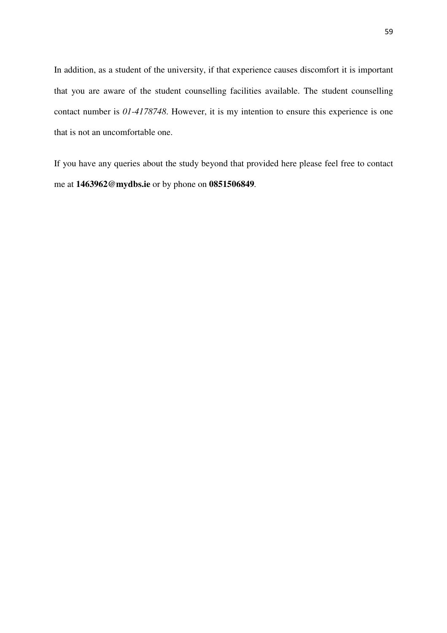In addition, as a student of the university, if that experience causes discomfort it is important that you are aware of the student counselling facilities available. The student counselling contact number is *01-4178748*. However, it is my intention to ensure this experience is one that is not an uncomfortable one.

If you have any queries about the study beyond that provided here please feel free to contact me at **1463962@mydbs.ie** or by phone on **0851506849***.*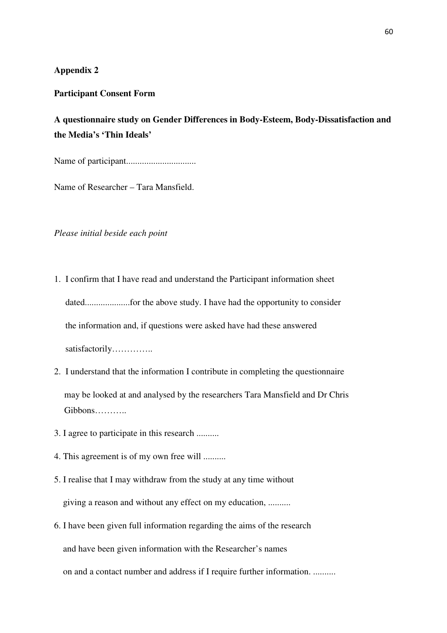# **Appendix 2**

#### **Participant Consent Form**

# **A questionnaire study on Gender Differences in Body-Esteem, Body-Dissatisfaction and the Media's 'Thin Ideals'**

Name of participant...............................

Name of Researcher – Tara Mansfield.

#### *Please initial beside each point*

- 1. I confirm that I have read and understand the Participant information sheet dated....................for the above study. I have had the opportunity to consider the information and, if questions were asked have had these answered satisfactorily…………..
- 2. I understand that the information I contribute in completing the questionnaire may be looked at and analysed by the researchers Tara Mansfield and Dr Chris Gibbons………..
- 3. I agree to participate in this research ..........
- 4. This agreement is of my own free will ..........
- 5. I realise that I may withdraw from the study at any time without giving a reason and without any effect on my education, ..........
- 6. I have been given full information regarding the aims of the research and have been given information with the Researcher's names on and a contact number and address if I require further information. ..........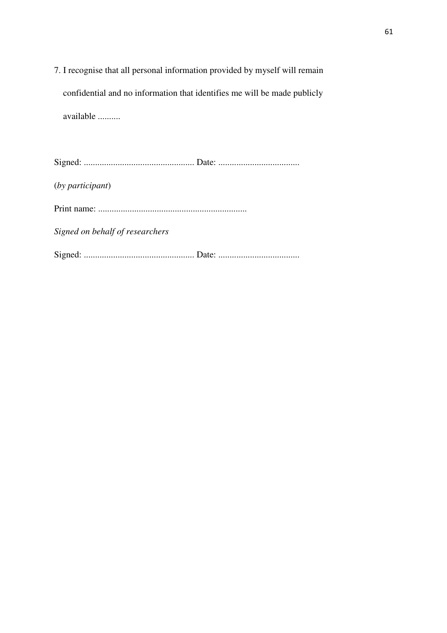7. I recognise that all personal information provided by myself will remain confidential and no information that identifies me will be made publicly available ..........

Signed: ................................................. Date: .................................... (*by participant*) Print name: .................................................................. *Signed on behalf of researchers*  Signed: ................................................. Date: ....................................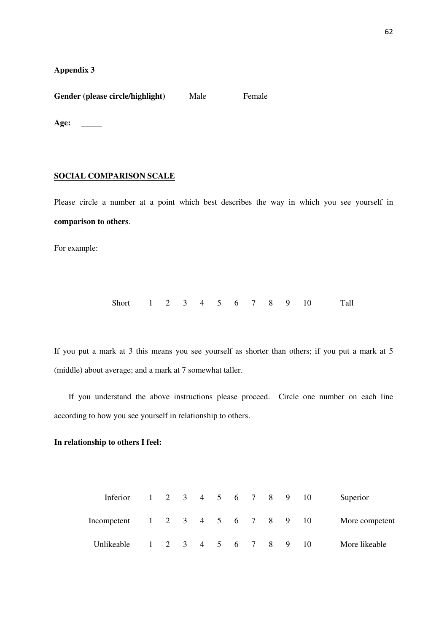**Appendix 3** 

Gender (please circle/highlight) Male Female

**Age: \_\_\_\_\_** 

#### **SOCIAL COMPARISON SCALE**

Please circle a number at a point which best describes the way in which you see yourself in **comparison to others**.

For example:

Short 1 2 3 4 5 6 7 8 9 10 Tall

If you put a mark at 3 this means you see yourself as shorter than others; if you put a mark at 5 (middle) about average; and a mark at 7 somewhat taller.

 If you understand the above instructions please proceed. Circle one number on each line according to how you see yourself in relationship to others.

#### **In relationship to others I feel:**

| Inferior                         |  |  |  |  | 1 2 3 4 5 6 7 8 9 10                     | Superior       |
|----------------------------------|--|--|--|--|------------------------------------------|----------------|
| Incompetent 1 2 3 4 5 6 7 8 9 10 |  |  |  |  |                                          | More competent |
| Unlikeable                       |  |  |  |  | $1 \t2 \t3 \t4 \t5 \t6 \t7 \t8 \t9 \t10$ | More likeable  |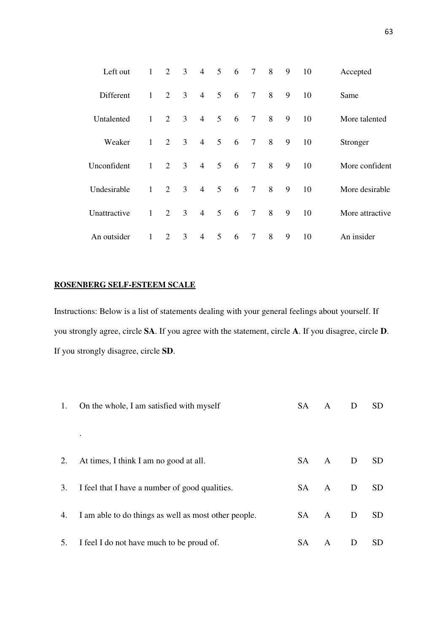| Left out     | $\mathbf{1}$ | 2              | 3 <sup>7</sup> | $\overline{4}$ | 5 6             |                 | $\tau$         | 8 | 9 | 10 | Accepted        |
|--------------|--------------|----------------|----------------|----------------|-----------------|-----------------|----------------|---|---|----|-----------------|
| Different    | $\mathbf{1}$ | $\overline{2}$ | 3 <sup>1</sup> | $\overline{4}$ | 5               | $6\overline{6}$ | $\tau$         | 8 | 9 | 10 | Same            |
| Untalented   | $\mathbf{1}$ | 2              | 3 <sup>7</sup> | $\overline{4}$ | $5\overline{)}$ | $6\overline{6}$ | $\tau$         | 8 | 9 | 10 | More talented   |
| Weaker       | $\mathbf{1}$ | $\overline{2}$ | 3 <sup>7</sup> | $\overline{4}$ | 5 <sup>5</sup>  | $6\overline{6}$ | $\overline{7}$ | 8 | 9 | 10 | Stronger        |
| Unconfident  | $\mathbf{1}$ | $\overline{2}$ | 3 <sup>1</sup> | $\overline{4}$ | 5 <sup>5</sup>  | $6\overline{6}$ | $\overline{7}$ | 8 | 9 | 10 | More confident  |
| Undesirable  | $\mathbf{1}$ | $\overline{2}$ | 3 <sup>1</sup> | $\overline{4}$ | 5 <sup>5</sup>  | $6\overline{6}$ | $\tau$         | 8 | 9 | 10 | More desirable  |
| Unattractive | $\mathbf{1}$ | $\overline{2}$ | 3 <sup>1</sup> | $\overline{4}$ | 5 <sup>5</sup>  | $6\overline{6}$ | $\overline{7}$ | 8 | 9 | 10 | More attractive |
| An outsider  | $\mathbf{1}$ | 2              | $\overline{3}$ | $\overline{4}$ | 5               | 6               | $\overline{7}$ | 8 | 9 | 10 | An insider      |

# **ROSENBERG SELF-ESTEEM SCALE**

Instructions: Below is a list of statements dealing with your general feelings about yourself. If you strongly agree, circle **SA**. If you agree with the statement, circle **A**. If you disagree, circle **D**. If you strongly disagree, circle **SD**.

|    | 1. On the whole, I am satisfied with myself             | <b>SA</b> | $\mathbf{A}$ | D | <b>SD</b>       |
|----|---------------------------------------------------------|-----------|--------------|---|-----------------|
|    |                                                         |           |              |   |                 |
| 2. | At times, I think I am no good at all.                  |           | SA A D       |   | SD <sub>1</sub> |
| 3. | I feel that I have a number of good qualities.          |           | SA A D       |   | <b>SD</b>       |
|    | 4. I am able to do things as well as most other people. |           | SA A         | D | SD <sub>1</sub> |
|    | 5. I feel I do not have much to be proud of.            | SA        | A            | D | <b>SD</b>       |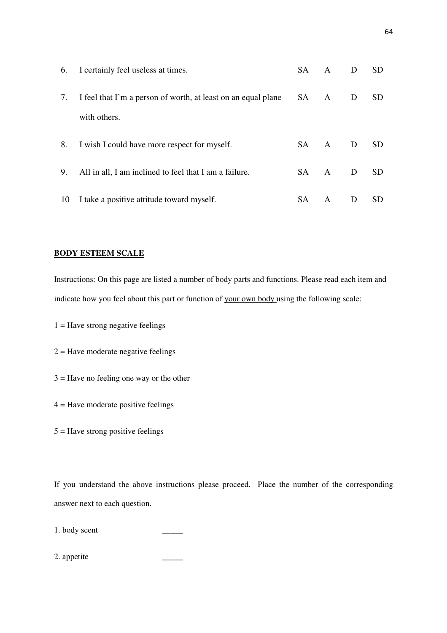| 6. | I certainly feel useless at times.                            | SA – | A      | D            | SD.       |
|----|---------------------------------------------------------------|------|--------|--------------|-----------|
| 7. | I feel that I'm a person of worth, at least on an equal plane | SA A |        | D            | SD.       |
|    | with others.                                                  |      |        |              |           |
| 8. | I wish I could have more respect for myself.                  |      | SA A D |              | <b>SD</b> |
| 9. | All in all, I am inclined to feel that I am a failure.        |      | SA A   | $\mathbf{D}$ | <b>SD</b> |
| 10 | I take a positive attitude toward myself.                     | SA   | A      | D            | SD.       |

#### **BODY ESTEEM SCALE**

Instructions: On this page are listed a number of body parts and functions. Please read each item and indicate how you feel about this part or function of your own body using the following scale:

- $1 =$  Have strong negative feelings
- $2 =$  Have moderate negative feelings
- 3 = Have no feeling one way or the other
- 4 = Have moderate positive feelings
- $5 =$  Have strong positive feelings

If you understand the above instructions please proceed. Place the number of the corresponding answer next to each question.

1. body scent

2. appetite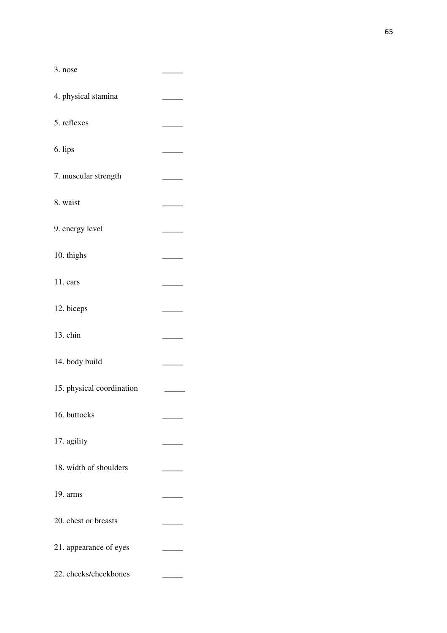| 3. nose                   |  |
|---------------------------|--|
| 4. physical stamina       |  |
| 5. reflexes               |  |
| 6. lips                   |  |
| 7. muscular strength      |  |
| 8. waist                  |  |
| 9. energy level           |  |
| 10. thighs                |  |
| 11. ears                  |  |
| 12. biceps                |  |
| 13. chin                  |  |
| 14. body build            |  |
| 15. physical coordination |  |
| 16. buttocks              |  |
| 17. agility               |  |
| 18. width of shoulders    |  |
| 19. arms                  |  |
| 20. chest or breasts      |  |
| 21. appearance of eyes    |  |
| 22. cheeks/cheekbones     |  |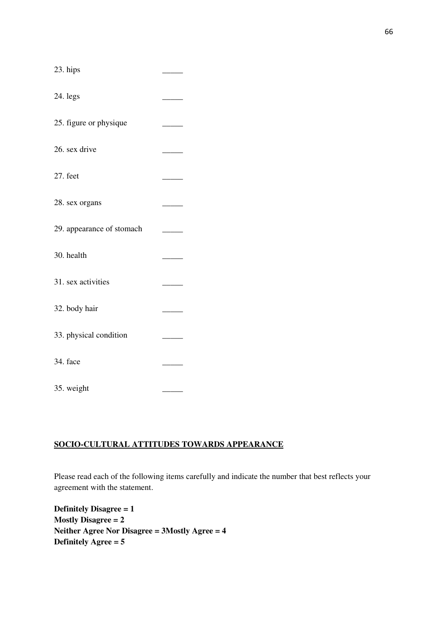| 23. hips                  |  |
|---------------------------|--|
| 24. legs                  |  |
| 25. figure or physique    |  |
| 26. sex drive             |  |
| 27. feet                  |  |
| 28. sex organs            |  |
| 29. appearance of stomach |  |
| 30. health                |  |
| 31. sex activities        |  |
| 32. body hair             |  |
| 33. physical condition    |  |
| 34. face                  |  |
| 35. weight                |  |

### **SOCIO-CULTURAL ATTITUDES TOWARDS APPEARANCE**

Please read each of the following items carefully and indicate the number that best reflects your agreement with the statement.

**Definitely Disagree = 1 Mostly Disagree = 2 Neither Agree Nor Disagree = 3Mostly Agree = 4 Definitely Agree = 5**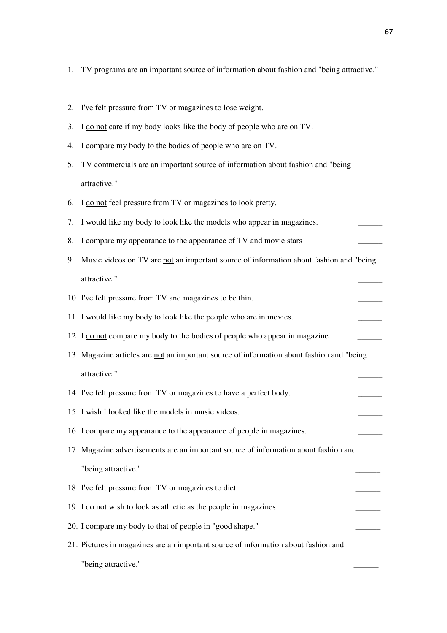|    | 1. TV programs are an important source of information about fashion and "being attractive." |
|----|---------------------------------------------------------------------------------------------|
| 2. | I've felt pressure from TV or magazines to lose weight.                                     |
| 3. | I do not care if my body looks like the body of people who are on TV.                       |
| 4. | I compare my body to the bodies of people who are on TV.                                    |
| 5. | TV commercials are an important source of information about fashion and "being              |
|    | attractive."                                                                                |
| 6. | I do not feel pressure from TV or magazines to look pretty.                                 |
|    |                                                                                             |
| 7. | I would like my body to look like the models who appear in magazines.                       |
| 8. | I compare my appearance to the appearance of TV and movie stars                             |
| 9. | Music videos on TV are not an important source of information about fashion and "being      |
|    | attractive."                                                                                |
|    | 10. I've felt pressure from TV and magazines to be thin.                                    |
|    | 11. I would like my body to look like the people who are in movies.                         |
|    | 12. I do not compare my body to the bodies of people who appear in magazine                 |
|    | 13. Magazine articles are not an important source of information about fashion and "being   |
|    | attractive."                                                                                |
|    | 14. I've felt pressure from TV or magazines to have a perfect body.                         |
|    | 15. I wish I looked like the models in music videos.                                        |
|    | 16. I compare my appearance to the appearance of people in magazines.                       |
|    | 17. Magazine advertisements are an important source of information about fashion and        |
|    | "being attractive."                                                                         |
|    | 18. I've felt pressure from TV or magazines to diet.                                        |
|    | 19. I do not wish to look as athletic as the people in magazines.                           |
|    | 20. I compare my body to that of people in "good shape."                                    |
|    | 21. Pictures in magazines are an important source of information about fashion and          |
|    | "being attractive."                                                                         |